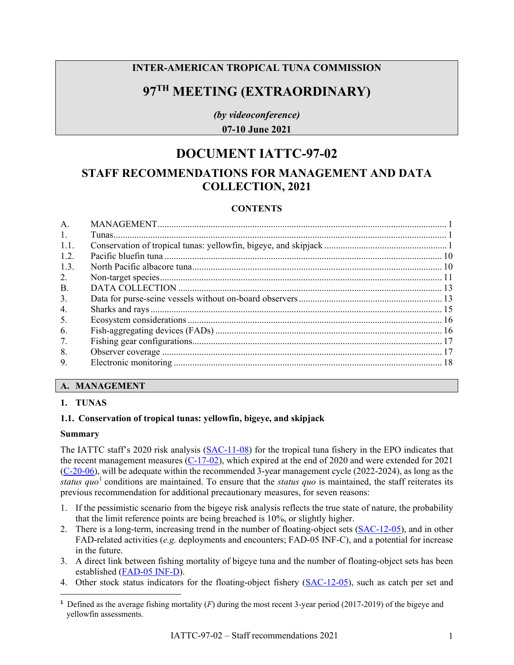## **INTER-AMERICAN TROPICAL TUNA COMMISSION**

# **97TH MEETING (EXTRAORDINARY)**

*(by videoconference)* **07-10 June 2021**

# **DOCUMENT IATTC-97-02**

## **STAFF RECOMMENDATIONS FOR MANAGEMENT AND DATA COLLECTION, 2021**

## **CONTENTS**

| A.        |  |
|-----------|--|
| 1.        |  |
| 1.1.      |  |
| 1.2.      |  |
| 1.3.      |  |
| 2.        |  |
| <b>B.</b> |  |
| 3.        |  |
| 4.        |  |
| 5.        |  |
| 6.        |  |
| 7.        |  |
| 8.        |  |
| 9.        |  |

## <span id="page-0-0"></span>**A. MANAGEMENT**

## <span id="page-0-1"></span>**1. TUNAS**

## <span id="page-0-2"></span>**1.1. Conservation of tropical tunas: yellowfin, bigeye, and skipjack**

#### **Summary**

The IATTC staff's 2020 risk analysis [\(SAC-11-08\)](https://www.iattc.org/Meetings/Meetings2020/SAC-11/Docs/_English/SAC-11-08-REV-23-Oct-2020-MTG_Risk%20analysis%20for%20management.pdf) for the tropical tuna fishery in the EPO indicates that the recent management measures  $(C-17-02)$ , which expired at the end of 2020 and were extended for 2021 [\(C-20-06\)](https://www.iattc.org/PDFFiles/Resolutions/IATTC/_English/C-20-06-Active_Consevation%20Tropical%20Tunas%20in%20the%20EPO%20during%202021%20Pursuant%20to%20RES%20C-20-05.pdf), will be adequate within the recommended 3-year management cycle (2022-2024), as long as the *status quo*<sup>[1](#page-0-3)</sup> conditions are maintained. To ensure that the *status quo* is maintained, the staff reiterates its previous recommendation for additional precautionary measures, for seven reasons:

- 1. If the pessimistic scenario from the bigeye risk analysis reflects the true state of nature, the probability that the limit reference points are being breached is 10%, or slightly higher.
- 2. There is a long-term, increasing trend in the number of floating-object sets [\(SAC-12-05\)](https://www.iattc.org/Meetings/Meetings2021/SAC-12/Docs/_English/SAC-12-05_Stock%20status%20indicators%20(SSIs)%20for%20tropical%20tunas%20in%20the%20EPO.pdf), and in other FAD-related activities (*e.g.* deployments and encounters; FAD-05 INF-C), and a potential for increase in the future.
- 3. A direct link between fishing mortality of bigeye tuna and the number of floating-object sets has been established [\(FAD-05 INF-D\)](https://www.iattc.org/Meetings/Meetings2021/FAD-05a/Docs/_English/FAD-05a-INF-D_Relationship%20between%20fishing%20mortality%20and%20number%20of%20OBJ%20sets%20for%20BET%20in%20the%20EPO.pdf).
- 4. Other stock status indicators for the floating-object fishery [\(SAC-12-05\)](https://www.iattc.org/Meetings/Meetings2021/SAC-12/Docs/_English/SAC-12-05_Stock%20status%20indicators%20(SSIs)%20for%20tropical%20tunas%20in%20the%20EPO.pdf), such as catch per set and

<span id="page-0-3"></span>**<sup>1</sup>** Defined as the average fishing mortality (*F*) during the most recent 3-year period (2017-2019) of the bigeye and yellowfin assessments.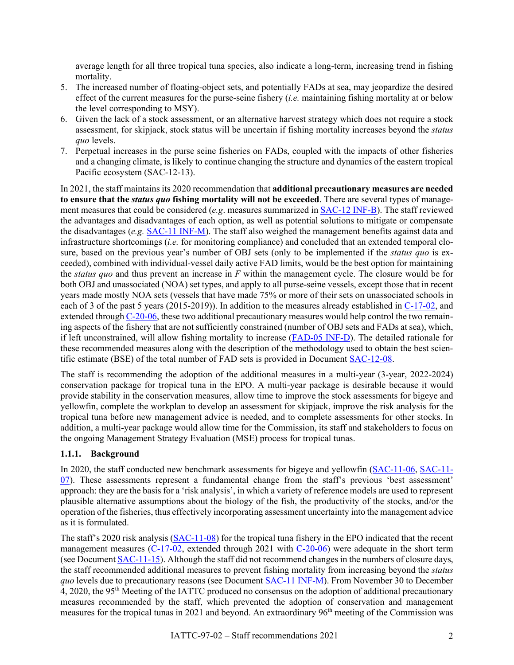average length for all three tropical tuna species, also indicate a long-term, increasing trend in fishing mortality.

- 5. The increased number of floating-object sets, and potentially FADs at sea, may jeopardize the desired effect of the current measures for the purse-seine fishery (*i.e.* maintaining fishing mortality at or below the level corresponding to MSY).
- 6. Given the lack of a stock assessment, or an alternative harvest strategy which does not require a stock assessment, for skipjack, stock status will be uncertain if fishing mortality increases beyond the *status quo* levels.
- 7. Perpetual increases in the purse seine fisheries on FADs, coupled with the impacts of other fisheries and a changing climate, is likely to continue changing the structure and dynamics of the eastern tropical Pacific ecosystem (SAC-12-13).

In 2021, the staff maintains its 2020 recommendation that **additional precautionary measures are needed to ensure that the** *status quo* **fishing mortality will not be exceeded**. There are several types of management measures that could be considered (*e.g*. measures summarized in [SAC-12 INF-B\)](https://www.iattc.org/Meetings/Meetings2021/SAC-12/Docs/_English/SAC-12-INF-B_Review%20of%20conservation%20alternatives.pdf). The staff reviewed the advantages and disadvantages of each option, as well as potential solutions to mitigate or compensate the disadvantages (*e.g.* [SAC-11 INF-M\)](https://www.iattc.org/Meetings/Meetings2020/SAC-11/Docs/_English/SAC-11-INF-M_FAD%20management%20measures.pdf). The staff also weighed the management benefits against data and infrastructure shortcomings (*i.e.* for monitoring compliance) and concluded that an extended temporal closure, based on the previous year's number of OBJ sets (only to be implemented if the *status quo* is exceeded), combined with individual-vessel daily active FAD limits, would be the best option for maintaining the *status quo* and thus prevent an increase in *F* within the management cycle. The closure would be for both OBJ and unassociated (NOA) set types, and apply to all purse-seine vessels, except those that in recent years made mostly NOA sets (vessels that have made 75% or more of their sets on unassociated schools in each of 3 of the past 5 years (2015-2019)). In addition to the measures already established in [C-17-02,](https://www.iattc.org/PDFFiles/Resolutions/IATTC/_English/C-17-02-Active_Tuna%20conservation%20in%20the%20EPO%202018-2020%20and%20amendment%20to%20resolution%20C-17-01.pdf) and extended throug[h C-20-06,](https://www.iattc.org/PDFFiles/Resolutions/IATTC/_English/C-20-06-Active_Consevation%20Tropical%20Tunas%20in%20the%20EPO%20during%202021%20Pursuant%20to%20RES%20C-20-05.pdf) these two additional precautionary measures would help control the two remaining aspects of the fishery that are not sufficiently constrained (number of OBJ sets and FADs at sea), which, if left unconstrained, will allow fishing mortality to increase [\(FAD-05](https://www.iattc.org/Meetings/Meetings2021/FAD-05a/Docs/_English/FAD-05a-INF-D_Relationship%20between%20fishing%20mortality%20and%20number%20of%20OBJ%20sets%20for%20BET%20in%20the%20EPO.pdf) INF-D). The detailed rationale for these recommended measures along with the description of the methodology used to obtain the best scientific estimate (BSE) of the total number of FAD sets is provided in Document [SAC-12-08.](https://www.iattc.org/Meetings/Meetings2021/SAC-12/Docs/_English/SAC-12-08_Managing%20the%20floating-object%20fishery.pdf)

The staff is recommending the adoption of the additional measures in a multi-year (3-year, 2022-2024) conservation package for tropical tuna in the EPO. A multi-year package is desirable because it would provide stability in the conservation measures, allow time to improve the stock assessments for bigeye and yellowfin, complete the workplan to develop an assessment for skipjack, improve the risk analysis for the tropical tuna before new management advice is needed, and to complete assessments for other stocks. In addition, a multi-year package would allow time for the Commission, its staff and stakeholders to focus on the ongoing Management Strategy Evaluation (MSE) process for tropical tunas.

## **1.1.1. Background**

In 2020, the staff conducted new benchmark assessments for bigeye and yellowfin [\(SAC-11-06,](http://www.iattc.org/Meetings/Meetings2020/SAC-11/Docs/_English/SAC-11-06_Bigeye%20tuna%20benchmark%20assessment%202019.pdf) [SAC-11-](http://www.iattc.org/Meetings/Meetings2020/SAC-11/Docs/_English/SAC-11-07_Yellowfin%20tuna%20benchmark%20assessment%202019.pdf) [07\)](http://www.iattc.org/Meetings/Meetings2020/SAC-11/Docs/_English/SAC-11-07_Yellowfin%20tuna%20benchmark%20assessment%202019.pdf). These assessments represent a fundamental change from the staff's previous 'best assessment' approach: they are the basis for a 'risk analysis', in which a variety of reference models are used to represent plausible alternative assumptions about the biology of the fish, the productivity of the stocks, and/or the operation of the fisheries, thus effectively incorporating assessment uncertainty into the management advice as it is formulated.

The staff's 2020 risk analysis [\(SAC-11-08\)](https://www.iattc.org/Meetings/Meetings2020/SAC-11/Docs/_English/SAC-11-08-REV-23-Oct-2020-MTG_Risk%20analysis%20for%20management.pdf) for the tropical tuna fishery in the EPO indicated that the recent management measures [\(C-17-02,](http://www.iattc.org/PDFFiles/Resolutions/IATTC/_English/C-17-02-Active_Tuna%20conservation%20in%20the%20EPO%202018-2020%20and%20amendment%20to%20resolution%20C-17-01.pdf) extended through 2021 with [C-20-06\)](https://www.iattc.org/PDFFiles/Resolutions/IATTC/_English/C-20-06-Active_Consevation%20Tropical%20Tunas%20in%20the%20EPO%20during%202021%20Pursuant%20to%20RES%20C-20-05.pdf) were adequate in the short term (see Document [SAC-11-15\)](https://www.iattc.org/Meetings/Meetings2020/SAC-11/Docs/_English/SAC-11-15-MTG_Staff%20recommendations%20to%20the%20Commission.pdf). Although the staff did not recommend changes in the numbers of closure days, the staff recommended additional measures to prevent fishing mortality from increasing beyond the *status quo* levels due to precautionary reasons (see Document [SAC-11 INF-M\)](https://www.iattc.org/Meetings/Meetings2020/SAC-11/Docs/_English/SAC-11-INF-M_FAD%20management%20measures.pdf). From November 30 to December 4, 2020, the 95<sup>th</sup> Meeting of the IATTC produced no consensus on the adoption of additional precautionary measures recommended by the staff, which prevented the adoption of conservation and management measures for the tropical tunas in 2021 and beyond. An extraordinary 96<sup>th</sup> meeting of the Commission was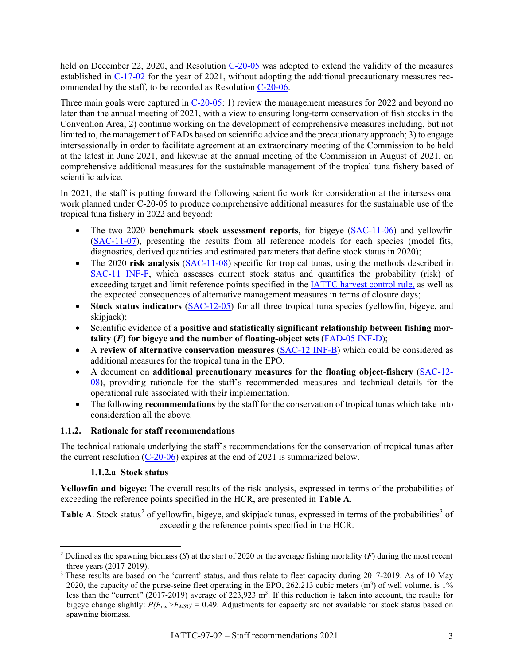held on December 22, 2020, and Resolution [C-20-05](https://www.iattc.org/PDFFiles/Resolutions/IATTC/_English/C-20-05-Active_Tropical%20Tunas%20Conservation%20and%20Management%202021.pdf) was adopted to extend the validity of the measures established in [C-17-02](http://www.iattc.org/PDFFiles/Resolutions/IATTC/_English/C-17-02-Active_Tuna%20conservation%20in%20the%20EPO%202018-2020%20and%20amendment%20to%20resolution%20C-17-01.pdf) for the year of 2021, without adopting the additional precautionary measures recommended by the staff, to be recorded as Resolution [C-20-06.](https://www.iattc.org/PDFFiles/Resolutions/IATTC/_English/C-20-06-Active_Consevation%20Tropical%20Tunas%20in%20the%20EPO%20during%202021%20Pursuant%20to%20RES%20C-20-05.pdf)

Three main goals were captured in [C-20-05:](https://www.iattc.org/PDFFiles/Resolutions/IATTC/_English/C-20-05-Active_Tropical%20Tunas%20Conservation%20and%20Management%202021.pdf) 1) review the management measures for 2022 and beyond no later than the annual meeting of 2021, with a view to ensuring long-term conservation of fish stocks in the Convention Area; 2) continue working on the development of comprehensive measures including, but not limited to, the management of FADs based on scientific advice and the precautionary approach; 3) to engage intersessionally in order to facilitate agreement at an extraordinary meeting of the Commission to be held at the latest in June 2021, and likewise at the annual meeting of the Commission in August of 2021, on comprehensive additional measures for the sustainable management of the tropical tuna fishery based of scientific advice.

In 2021, the staff is putting forward the following scientific work for consideration at the intersessional work planned under C-20-05 to produce comprehensive additional measures for the sustainable use of the tropical tuna fishery in 2022 and beyond:

- The two 2020 **benchmark stock assessment reports**, for bigeye [\(SAC-11-06\)](http://www.iattc.org/Meetings/Meetings2020/SAC-11/Docs/_English/SAC-11-06_Bigeye%20tuna%20benchmark%20assessment%202019.pdf) and yellowfin [\(SAC-11-07\)](http://www.iattc.org/Meetings/Meetings2020/SAC-11/Docs/_English/SAC-11-07_Yellowfin%20tuna%20benchmark%20assessment%202019.pdf), presenting the results from all reference models for each species (model fits, diagnostics, derived quantities and estimated parameters that define stock status in 2020);
- The 2020 **risk analysis [\(SAC-11-08\)](http://www.iattc.org/Meetings/Meetings2020/SAC-11/Docs/_English/SAC-11-08-REV-09-Jun-20_Risk%20analysis%20for%20management.pdf)** specific for tropical tunas, using the methods described in [SAC-11 INF-F,](http://www.iattc.org/Meetings/Meetings2020/SAC-11/Docs/_English/SAC-11-INF-F_Implementing%20risk%20analysis.pdf) which assesses current stock status and quantifies the probability (risk) of exceeding target and limit reference points specified in the [IATTC harvest control rule,](http://www.iattc.org/PDFFiles/Resolutions/IATTC/_English/C-16-02-Active_Harvest%20control%20rules.pdf) as well as the expected consequences of alternative management measures in terms of closure days;
- **Stock status indicators** [\(SAC-12-05\)](https://www.iattc.org/Meetings/Meetings2021/SAC-12/Docs/_English/SAC-12-05_Stock%20status%20indicators%20(SSIs)%20for%20tropical%20tunas%20in%20the%20EPO.pdf) for all three tropical tuna species (yellowfin, bigeye, and skipjack);
- Scientific evidence of a **positive and statistically significant relationship between fishing mortality**  $(F)$  for bigeye and the number of floating-object sets  $(FAD-05$  INF-D);
- A **review of alternative conservation measures** [\(SAC-12 INF-B\)](https://www.iattc.org/Meetings/Meetings2021/SAC-12/Docs/_English/SAC-12-INF-B_Review%20of%20conservation%20alternatives.pdf) which could be considered as additional measures for the tropical tuna in the EPO.
- A document on **additional precautionary measures for the floating object-fishery** [\(SAC-12-](https://www.iattc.org/Meetings/Meetings2021/SAC-12/Docs/_English/SAC-12-08_Managing%20the%20floating-object%20fishery.pdf) [08\)](https://www.iattc.org/Meetings/Meetings2021/SAC-12/Docs/_English/SAC-12-08_Managing%20the%20floating-object%20fishery.pdf), providing rationale for the staff's recommended measures and technical details for the operational rule associated with their implementation.
- The following **recommendations** by the staff for the conservation of tropical tunas which take into consideration all the above.

## **1.1.2. Rationale for staff recommendations**

The technical rationale underlying the staff's recommendations for the conservation of tropical tunas after the current resolution  $(C-20-06)$  expires at the end of 2021 is summarized below.

## **1.1.2.a Stock status**

**Yellowfin and bigeye:** The overall results of the risk analysis, expressed in terms of the probabilities of exceeding the reference points specified in the HCR, are presented in **Table A**.

**Table A.** Stock status<sup>[2](#page-2-0)</sup> of yellowfin, bigeye, and skipjack tunas, expressed in terms of the probabilities<sup>[3](#page-2-1)</sup> of exceeding the reference points specified in the HCR.

<span id="page-2-0"></span><sup>2</sup> Defined as the spawning biomass (*S*) at the start of 2020 or the average fishing mortality (*F*) during the most recent three years (2017-2019).<br><sup>3</sup> These results are based on the 'current' status, and thus relate to fleet capacity during 2017-2019. As of 10 May

<span id="page-2-1"></span><sup>2020,</sup> the capacity of the purse-seine fleet operating in the EPO, 262,213 cubic meters  $(m<sup>3</sup>)$  of well volume, is 1% less than the "current" (2017-2019) average of 223,923 m<sup>3</sup>. If this reduction is taken into account, the results for bigeye change slightly:  $P(F_{\text{cur}} > F_{\text{MSY}}) = 0.49$ . Adjustments for capacity are not available for stock status based on spawning biomass.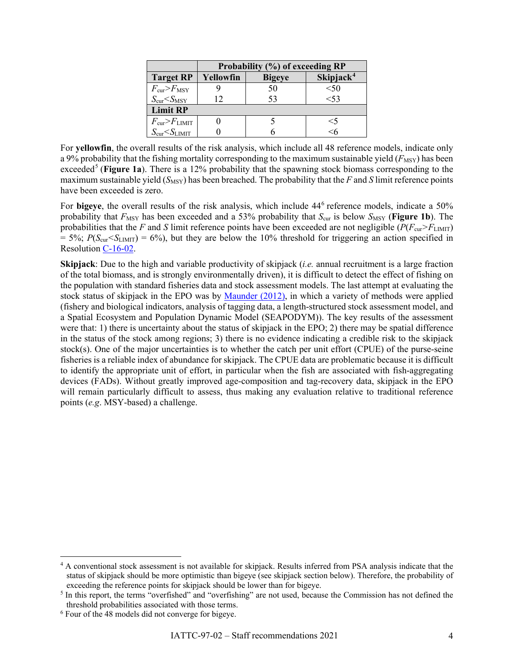|                                    | Probability (%) of exceeding RP |               |                                   |  |  |
|------------------------------------|---------------------------------|---------------|-----------------------------------|--|--|
| <b>Target RP</b>                   | Yellowfin                       | <b>Bigeye</b> | $\mathrm{Skip}$ jack <sup>4</sup> |  |  |
| $F_{\rm cur} > F_{\rm MSY}$        |                                 | 50            | < 50                              |  |  |
| $S_{\rm cur} < S_{\rm MSY}$        | 12                              | 53            | < 53                              |  |  |
| <b>Limit RP</b>                    |                                 |               |                                   |  |  |
| $F_{\rm cur} > F_{\rm LIMIT}$      |                                 |               | $<$ 5                             |  |  |
| $S_{\text{cur}}< S_{\text{LIMIT}}$ |                                 |               |                                   |  |  |

For **yellowfin**, the overall results of the risk analysis, which include all 48 reference models, indicate only a 9% probability that the fishing mortality corresponding to the maximum sustainable yield  $(F_{\text{MSY}})$  has been exceeded<sup>[5](#page-3-1)</sup> (**Figure 1a**). There is a 12% probability that the spawning stock biomass corresponding to the maximum sustainable yield  $(S_{\text{MSY}})$  has been breached. The probability that the *F* and *S* limit reference points have been exceeded is zero.

For **bigeye**, the overall results of the risk analysis, which include 44<sup>[6](#page-3-2)</sup> reference models, indicate a 50% probability that  $F_{\text{MSY}}$  has been exceeded and a 53% probability that  $S_{\text{cur}}$  is below  $S_{\text{MSY}}$  (**Figure 1b**). The probabilities that the *F* and *S* limit reference points have been exceeded are not negligible ( $P(F_{\text{cur}} > F_{\text{LIMIT}})$ )  $= 5\%$ ;  $P(S_{\text{cur}} < S_{\text{LMIT}}) = 6\%$ ), but they are below the 10% threshold for triggering an action specified in Resolution [C-16-02.](https://www.iattc.org/PDFFiles/Resolutions/IATTC/_English/C-16-02-Active_Harvest%20control%20rules.pdf)

**Skipjack**: Due to the high and variable productivity of skipjack (*i.e.* annual recruitment is a large fraction of the total biomass, and is strongly environmentally driven), it is difficult to detect the effect of fishing on the population with standard fisheries data and stock assessment models. The last attempt at evaluating the stock status of skipjack in the EPO was by [Maunder \(2012\),](http://www.iattc.org/PDFFiles/StockAssessmentReports/_English/No-13-2012_Status%20of%20the%20tuna%20and%20billfish%20stocks%20in%202011.pdf#page=34) in which a variety of methods were applied (fishery and biological indicators, analysis of tagging data, a length-structured stock assessment model, and a Spatial Ecosystem and Population Dynamic Model (SEAPODYM)). The key results of the assessment were that: 1) there is uncertainty about the status of skipjack in the EPO; 2) there may be spatial difference in the status of the stock among regions; 3) there is no evidence indicating a credible risk to the skipjack stock(s). One of the major uncertainties is to whether the catch per unit effort (CPUE) of the purse-seine fisheries is a reliable index of abundance for skipjack. The CPUE data are problematic because it is difficult to identify the appropriate unit of effort, in particular when the fish are associated with fish-aggregating devices (FADs). Without greatly improved age-composition and tag-recovery data, skipjack in the EPO will remain particularly difficult to assess, thus making any evaluation relative to traditional reference points (*e.g*. MSY-based) a challenge.

<span id="page-3-0"></span><sup>&</sup>lt;sup>4</sup> A conventional stock assessment is not available for skipjack. Results inferred from PSA analysis indicate that the status of skipjack should be more optimistic than bigeye (see skipjack section below). Therefore, the probability of exceeding the reference points for skipjack should be lower than for bigeye.

<span id="page-3-1"></span><sup>&</sup>lt;sup>5</sup> In this report, the terms "overfished" and "overfishing" are not used, because the Commission has not defined the threshold probabilities associated with those terms.

<span id="page-3-2"></span><sup>6</sup> Four of the 48 models did not converge for bigeye.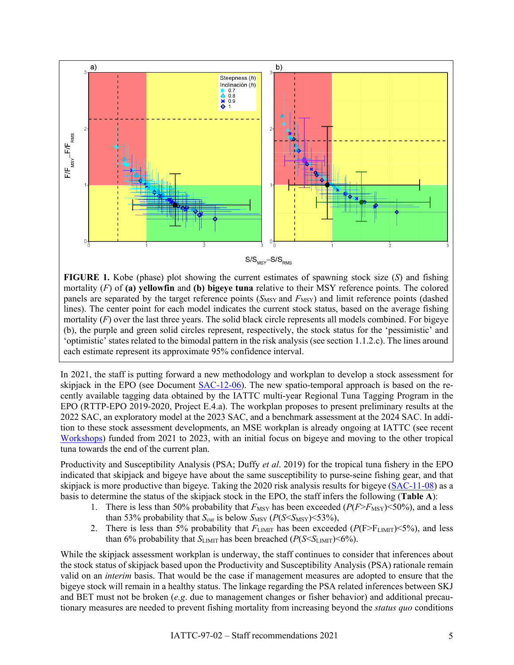

**FIGURE 1.** Kobe (phase) plot showing the current estimates of spawning stock size (*S*) and fishing mortality (*F*) of **(a) yellowfin** and **(b) bigeye tuna** relative to their MSY reference points. The colored panels are separated by the target reference points  $(S_{MSY}$  and  $F_{MSY})$  and limit reference points (dashed lines). The center point for each model indicates the current stock status, based on the average fishing mortality (*F*) over the last three years. The solid black circle represents all models combined. For bigeye (b), the purple and green solid circles represent, respectively, the stock status for the 'pessimistic' and 'optimistic' states related to the bimodal pattern in the risk analysis (see section 1.1.2.c). The lines around each estimate represent its approximate 95% confidence interval.

In 2021, the staff is putting forward a new methodology and workplan to develop a stock assessment for skipjack in the EPO (see Document [SAC-12-06\)](https://www.iattc.org/Meetings/Meetings2021/SAC-12/Docs/_English/SAC-12-06_%20Assessment%20methods%20for%20skipjack%20in%20the%20EPO%20using%20tagging%20data.pdf). The new spatio-temporal approach is based on the recently available tagging data obtained by the IATTC multi-year Regional Tuna Tagging Program in the EPO (RTTP-EPO 2019-2020, Project E.4.a). The workplan proposes to present preliminary results at the 2022 SAC, an exploratory model at the 2023 SAC, and a benchmark assessment at the 2024 SAC. In addition to these stock assessment developments, an MSE workplan is already ongoing at IATTC (see recent [Workshops\)](http://iattc.org/Meetings/Meetings2019/WSMSE-01/_English/WSMSE-01-RPT_1st%20Workshop%20on%20Management%20Strategy%20Evaluation%20for%20tropical%20tunas.pdf) funded from 2021 to 2023, with an initial focus on bigeye and moving to the other tropical tuna towards the end of the current plan.

Productivity and Susceptibility Analysis (PSA; Duffy *et al*. 2019) for the tropical tuna fishery in the EPO indicated that skipjack and bigeye have about the same susceptibility to purse-seine fishing gear, and that skipjack is more productive than bigeye. Taking the 2020 risk analysis results for bigeye [\(SAC-11-08\)](http://www.iattc.org/Meetings/Meetings2020/SAC-11/Docs/_English/SAC-11-08-REV-09-Jun-20_Risk%20analysis%20for%20management.pdf) as a basis to determine the status of the skipjack stock in the EPO, the staff infers the following (**Table A**):

- 1. There is less than 50% probability that  $F_{\text{MSY}}$  has been exceeded ( $P(F>F_{\text{MSY}})$  <50%), and a less than 53% probability that  $S_{\text{cur}}$  is below  $S_{\text{MSY}}$  ( $P(S \leq S_{\text{MSY}}) \leq 53\%$ ),
- 2. There is less than 5% probability that  $F_{\text{LIMIT}}$  has been exceeded ( $P(\text{F}>F_{\text{LIMIT}})$ <5%), and less than 6% probability that  $S_{\text{LIMIT}}$  has been breached ( $P(S \leq S_{\text{LIMIT}}) \leq 6\%$ ).

While the skipjack assessment workplan is underway, the staff continues to consider that inferences about the stock status of skipjack based upon the Productivity and Susceptibility Analysis (PSA) rationale remain valid on an *interim* basis. That would be the case if management measures are adopted to ensure that the bigeye stock will remain in a healthy status. The linkage regarding the PSA related inferences between SKJ and BET must not be broken (*e.g*. due to management changes or fisher behavior) and additional precautionary measures are needed to prevent fishing mortality from increasing beyond the *status quo* conditions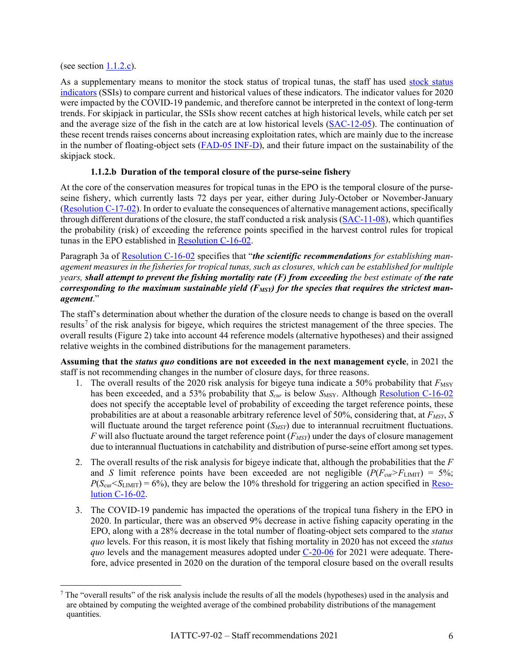(see section  $1.1.2.c$ ).

As a supplementary means to monitor the stock status of tropical tunas, the staff has used [stock status](http://www.iattc.org/Meetings/Meetings2007/SAR-08/Docs/_English/SAR-08-10_Skipjack%20tuna%20indicators.pdf)  [indicators](http://www.iattc.org/Meetings/Meetings2007/SAR-08/Docs/_English/SAR-08-10_Skipjack%20tuna%20indicators.pdf) (SSIs) to compare current and historical values of these indicators. The indicator values for 2020 were impacted by the COVID-19 pandemic, and therefore cannot be interpreted in the context of long-term trends. For skipjack in particular, the SSIs show recent catches at high historical levels, while catch per set and the average size of the fish in the catch are at low historical levels [\(SAC-12-05\)](https://www.iattc.org/Meetings/Meetings2021/SAC-12/Docs/_English/SAC-12-05_Stock%20status%20indicators%20(SSIs)%20for%20tropical%20tunas%20in%20the%20EPO.pdf). The continuation of these recent trends raises concerns about increasing exploitation rates, which are mainly due to the increase in the number of floating-object sets [\(FAD-05 INF-D\)](https://www.iattc.org/Meetings/Meetings2021/FAD-05a/Docs/_English/FAD-05a-INF-D_Relationship%20between%20fishing%20mortality%20and%20number%20of%20OBJ%20sets%20for%20BET%20in%20the%20EPO.pdf), and their future impact on the sustainability of the skipjack stock.

## **1.1.2.b Duration of the temporal closure of the purse-seine fishery**

At the core of the conservation measures for tropical tunas in the EPO is the temporal closure of the purseseine fishery, which currently lasts 72 days per year, either during July-October or November-January [\(Resolution C-17-02\)](http://www.iattc.org/PDFFiles/Resolutions/IATTC/_English/C-17-02-Active_Tuna%20conservation%20in%20the%20EPO%202018-2020%20and%20amendment%20to%20resolution%20C-17-01.pdf). In order to evaluate the consequences of alternative management actions, specifically through different durations of the closure, the staff conducted a risk analysis [\(SAC-11-08\)](http://www.iattc.org/Meetings/Meetings2020/SAC-11/Docs/_English/SAC-11-08-REV-09-Jun-20_Risk%20analysis%20for%20management.pdf), which quantifies the probability (risk) of exceeding the reference points specified in the harvest control rules for tropical tunas in the EPO established in [Resolution C-16-02.](http://www.iattc.org/PDFFiles/Resolutions/IATTC/_English/C-16-02-Active_Harvest%20control%20rules.pdf)

Paragraph 3a of [Resolution C-16-02](http://www.iattc.org/PDFFiles/Resolutions/IATTC/_English/C-16-02-Active_Harvest%20control%20rules.pdf) specifies that "*the scientific recommendations for establishing management measures in the fisheries for tropical tunas, such as closures, which can be established for multiple years, shall attempt to prevent the fishing mortality rate (F) from exceeding the best estimate of the rate*  corresponding to the maximum sustainable yield (F<sub>MSY</sub>) for the species that requires the strictest man*agement*."

The staff's determination about whether the duration of the closure needs to change is based on the overall results<sup>[7](#page-5-0)</sup> of the risk analysis for bigeye, which requires the strictest management of the three species. The overall results (Figure 2) take into account 44 reference models (alternative hypotheses) and their assigned relative weights in the combined distributions for the management parameters.

**Assuming that the** *status quo* **conditions are not exceeded in the next management cycle**, in 2021 the staff is not recommending changes in the number of closure days, for three reasons.

- 1. The overall results of the 2020 risk analysis for bigeye tuna indicate a 50% probability that  $F_{\text{MSY}}$ has been exceeded, and a 53% probability that  $S_{cur}$  is below  $S_{MSY}$ . Although [Resolution C-16-02](http://www.iattc.org/PDFFiles/Resolutions/IATTC/_English/C-16-02-Active_Harvest%20control%20rules.pdf) does not specify the acceptable level of probability of exceeding the target reference points, these probabilities are at about a reasonable arbitrary reference level of 50%, considering that, at  $F_{MSY}$ , *S* will fluctuate around the target reference point (*S<sub>MSY</sub>*) due to interannual recruitment fluctuations.  $F$  will also fluctuate around the target reference point  $(F_{MSY})$  under the days of closure management due to interannual fluctuations in catchability and distribution of purse-seine effort among set types.
- 2. The overall results of the risk analysis for bigeye indicate that, although the probabilities that the *F* and *S* limit reference points have been exceeded are not negligible  $(P(F_{cur} > F_{LIMIT}) = 5\%$ ;  $P(S_{\text{cur}} \le S_{\text{LMIT}}) = 6\%)$ , they are below the 10% threshold for triggering an action specified in [Reso](http://www.iattc.org/PDFFiles/Resolutions/IATTC/_English/C-16-02-Active_Harvest%20control%20rules.pdf)[lution C-16-02.](http://www.iattc.org/PDFFiles/Resolutions/IATTC/_English/C-16-02-Active_Harvest%20control%20rules.pdf)
- 3. The COVID-19 pandemic has impacted the operations of the tropical tuna fishery in the EPO in 2020. In particular, there was an observed 9% decrease in active fishing capacity operating in the EPO, along with a 28% decrease in the total number of floating-object sets compared to the *status quo* levels. For this reason, it is most likely that fishing mortality in 2020 has not exceed the *status quo* levels and the management measures adopted under [C-20-06](https://www.iattc.org/PDFFiles/Resolutions/IATTC/_English/C-20-06-Active_Consevation%20Tropical%20Tunas%20in%20the%20EPO%20during%202021%20Pursuant%20to%20RES%20C-20-05.pdf) for 2021 were adequate. Therefore, advice presented in 2020 on the duration of the temporal closure based on the overall results

<span id="page-5-0"></span> $<sup>7</sup>$  The "overall results" of the risk analysis include the results of all the models (hypotheses) used in the analysis and</sup> are obtained by computing the weighted average of the combined probability distributions of the management quantities.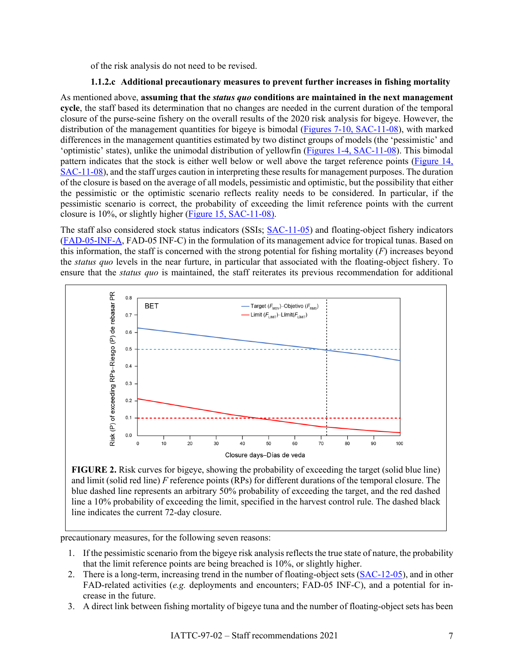of the risk analysis do not need to be revised.

#### **1.1.2.c Additional precautionary measures to prevent further increases in fishing mortality**

As mentioned above, **assuming that the** *status quo* **conditions are maintained in the next management cycle**, the staff based its determination that no changes are needed in the current duration of the temporal closure of the purse-seine fishery on the overall results of the 2020 risk analysis for bigeye. However, the distribution of the management quantities for bigeye is bimodal (Figures [7-10, SAC-11-08\)](http://www.iattc.org/Meetings/Meetings2020/SAC-11/Docs/_English/SAC-11-08-REV-09-Jun-20_Risk%20analysis%20for%20management.pdf#page=25), with marked differences in the management quantities estimated by two distinct groups of models (the 'pessimistic' and 'optimistic' states), unlike the unimodal distribution of yellowfin (Figures 1-4, [SAC-11-08\)](http://www.iattc.org/Meetings/Meetings2020/SAC-11/Docs/_English/SAC-11-08-REV-09-Jun-20_Risk%20analysis%20for%20management.pdf#page=19). This bimodal pattern indicates that the stock is either well below or well above the target reference points [\(Figure 14,](http://www.iattc.org/Meetings/Meetings2020/SAC-11/Docs/_English/SAC-11-08-REV-09-Jun-20_Risk%20analysis%20for%20management.pdf#page=32)  [SAC-11-08\)](http://www.iattc.org/Meetings/Meetings2020/SAC-11/Docs/_English/SAC-11-08-REV-09-Jun-20_Risk%20analysis%20for%20management.pdf#page=32), and the staff urges caution in interpreting these results for management purposes. The duration of the closure is based on the average of all models, pessimistic and optimistic, but the possibility that either the pessimistic or the optimistic scenario reflects reality needs to be considered. In particular, if the pessimistic scenario is correct, the probability of exceeding the limit reference points with the current closure is 10%, or slightly higher [\(Figure 15, SAC-11-08\)](http://www.iattc.org/Meetings/Meetings2020/SAC-11/Docs/_English/SAC-11-08-REV-09-Jun-20_Risk%20analysis%20for%20management.pdf#page=33).

The staff also considered stock status indicators (SSIs; [SAC-11-05\)](http://www.iattc.org/Meetings/Meetings2020/SAC-11/Docs/_English/SAC-11-05_Stock%20status%20indicators%20(SSIs)%20for%20tropical%20tunas%20in%20the%20EPO.pdf) and floating-object fishery indicators [\(FAD-05-INF-A,](https://www.iattc.org/Meetings/Meetings2021/FAD-05a/Docs/_English/FAD-05a-INF-A_Floating%20object%20fishery%20indicators.pdf) FAD-05 INF-C) in the formulation of its management advice for tropical tunas. Based on this information, the staff is concerned with the strong potential for fishing mortality (*F*) increases beyond the *status quo* levels in the near furture, in particular that associated with the floating-object fishery. To ensure that the *status quo* is maintained, the staff reiterates its previous recommendation for additional



**FIGURE 2.** Risk curves for bigeye, showing the probability of exceeding the target (solid blue line) and limit (solid red line) *F* reference points (RPs) for different durations of the temporal closure. The blue dashed line represents an arbitrary 50% probability of exceeding the target, and the red dashed line a 10% probability of exceeding the limit, specified in the harvest control rule. The dashed black line indicates the current 72-day closure.

precautionary measures, for the following seven reasons:

- 1. If the pessimistic scenario from the bigeye risk analysis reflects the true state of nature, the probability that the limit reference points are being breached is 10%, or slightly higher.
- 2. There is a long-term, increasing trend in the number of floating-object sets [\(SAC-12-05\)](https://www.iattc.org/Meetings/Meetings2021/SAC-12/Docs/_English/SAC-12-05_Stock%20status%20indicators%20(SSIs)%20for%20tropical%20tunas%20in%20the%20EPO.pdf), and in other FAD-related activities (*e.g.* deployments and encounters; FAD-05 INF-C), and a potential for increase in the future.
- 3. A direct link between fishing mortality of bigeye tuna and the number of floating-object sets has been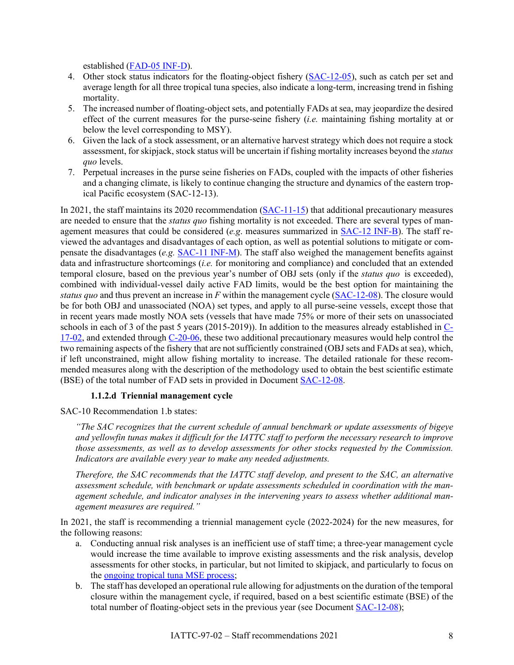established [\(FAD-05 INF-D\)](https://www.iattc.org/Meetings/Meetings2021/FAD-05a/Docs/_English/FAD-05a-INF-D_Relationship%20between%20fishing%20mortality%20and%20number%20of%20OBJ%20sets%20for%20BET%20in%20the%20EPO.pdf).

- 4. Other stock status indicators for the floating-object fishery [\(SAC-12-05\)](https://www.iattc.org/Meetings/Meetings2021/SAC-12/Docs/_English/SAC-12-05_Stock%20status%20indicators%20(SSIs)%20for%20tropical%20tunas%20in%20the%20EPO.pdf), such as catch per set and average length for all three tropical tuna species, also indicate a long-term, increasing trend in fishing mortality.
- 5. The increased number of floating-object sets, and potentially FADs at sea, may jeopardize the desired effect of the current measures for the purse-seine fishery (*i.e.* maintaining fishing mortality at or below the level corresponding to MSY).
- 6. Given the lack of a stock assessment, or an alternative harvest strategy which does not require a stock assessment, for skipjack, stock status will be uncertain if fishing mortality increases beyond the *status quo* levels.
- 7. Perpetual increases in the purse seine fisheries on FADs, coupled with the impacts of other fisheries and a changing climate, is likely to continue changing the structure and dynamics of the eastern tropical Pacific ecosystem (SAC-12-13).

In 2021, the staff maintains its 2020 recommendation [\(SAC-11-15\)](https://www.iattc.org/Meetings/Meetings2020/SAC-11/Docs/_English/SAC-11-15-MTG_Staff%20recommendations%20to%20the%20Commission.pdf) that additional precautionary measures are needed to ensure that the *status quo* fishing mortality is not exceeded. There are several types of management measures that could be considered (*e.g*. measures summarized in [SAC-12 INF-B\)](https://www.iattc.org/Meetings/Meetings2021/SAC-12/Docs/_English/SAC-12-INF-B_Review%20of%20conservation%20alternatives.pdf). The staff reviewed the advantages and disadvantages of each option, as well as potential solutions to mitigate or compensate the disadvantages (*e.g.* [SAC-11 INF-M\)](https://www.iattc.org/Meetings/Meetings2020/SAC-11/Docs/_English/SAC-11-INF-M_FAD%20management%20measures.pdf). The staff also weighed the management benefits against data and infrastructure shortcomings (*i.e.* for monitoring and compliance) and concluded that an extended temporal closure, based on the previous year's number of OBJ sets (only if the *status quo* is exceeded), combined with individual-vessel daily active FAD limits, would be the best option for maintaining the *status quo* and thus prevent an increase in *F* within the management cycle [\(SAC-12-08\)](https://www.iattc.org/Meetings/Meetings2021/SAC-12/Docs/_English/SAC-12-08_Managing%20the%20floating-object%20fishery.pdf). The closure would be for both OBJ and unassociated (NOA) set types, and apply to all purse-seine vessels, except those that in recent years made mostly NOA sets (vessels that have made 75% or more of their sets on unassociated schools in each of 3 of the past 5 years (2015-2019)). In addition to the measures already established in [C-](https://www.iattc.org/PDFFiles/Resolutions/IATTC/_English/C-17-02-Active_Tuna%20conservation%20in%20the%20EPO%202018-2020%20and%20amendment%20to%20resolution%20C-17-01.pdf)[17-02,](https://www.iattc.org/PDFFiles/Resolutions/IATTC/_English/C-17-02-Active_Tuna%20conservation%20in%20the%20EPO%202018-2020%20and%20amendment%20to%20resolution%20C-17-01.pdf) and extended through [C-20-06,](https://www.iattc.org/PDFFiles/Resolutions/IATTC/_English/C-20-06-Active_Consevation%20Tropical%20Tunas%20in%20the%20EPO%20during%202021%20Pursuant%20to%20RES%20C-20-05.pdf) these two additional precautionary measures would help control the two remaining aspects of the fishery that are not sufficiently constrained (OBJ sets and FADs at sea), which, if left unconstrained, might allow fishing mortality to increase. The detailed rationale for these recommended measures along with the description of the methodology used to obtain the best scientific estimate (BSE) of the total number of FAD sets in provided in Document [SAC-12-08.](https://www.iattc.org/Meetings/Meetings2021/SAC-12/Docs/_English/SAC-12-08_Managing%20the%20floating-object%20fishery.pdf)

#### **1.1.2.d Triennial management cycle**

SAC-10 Recommendation 1.b states:

*"The SAC recognizes that the current schedule of annual benchmark or update assessments of bigeye and yellowfin tunas makes it difficult for the IATTC staff to perform the necessary research to improve those assessments, as well as to develop assessments for other stocks requested by the Commission. Indicators are available every year to make any needed adjustments.*

*Therefore, the SAC recommends that the IATTC staff develop, and present to the SAC, an alternative assessment schedule, with benchmark or update assessments scheduled in coordination with the management schedule, and indicator analyses in the intervening years to assess whether additional management measures are required."*

In 2021, the staff is recommending a triennial management cycle (2022-2024) for the new measures, for the following reasons:

- a. Conducting annual risk analyses is an inefficient use of staff time; a three-year management cycle would increase the time available to improve existing assessments and the risk analysis, develop assessments for other stocks, in particular, but not limited to skipjack, and particularly to focus on the [ongoing tropical tuna MSE process;](http://iattc.org/Meetings/Meetings2019/WSMSE-01/_English/WSMSE-01-RPT_1st%20Workshop%20on%20Management%20Strategy%20Evaluation%20for%20tropical%20tunas.pdf)
- b. The staff has developed an operational rule allowing for adjustments on the duration of the temporal closure within the management cycle, if required, based on a best scientific estimate (BSE) of the total number of floating-object sets in the previous year (see Document [SAC-12-08\)](https://www.iattc.org/Meetings/Meetings2021/SAC-12/Docs/_English/SAC-12-08_Managing%20the%20floating-object%20fishery.pdf);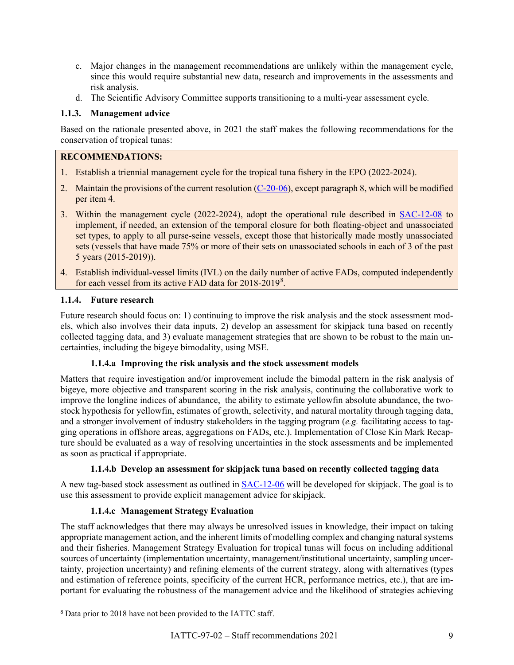- c. Major changes in the management recommendations are unlikely within the management cycle, since this would require substantial new data, research and improvements in the assessments and risk analysis.
- d. The Scientific Advisory Committee supports transitioning to a multi-year assessment cycle.

## **1.1.3. Management advice**

Based on the rationale presented above, in 2021 the staff makes the following recommendations for the conservation of tropical tunas:

## **RECOMMENDATIONS:**

- 1. Establish a triennial management cycle for the tropical tuna fishery in the EPO (2022-2024).
- 2. Maintain the provisions of the current resolution [\(C-20-06\)](https://www.iattc.org/PDFFiles/Resolutions/IATTC/_English/C-20-06-Active_Consevation%20Tropical%20Tunas%20in%20the%20EPO%20during%202021%20Pursuant%20to%20RES%20C-20-05.pdf), except paragraph 8, which will be modified per item 4.
- 3. Within the management cycle (2022-2024), adopt the operational rule described in [SAC-12-08](https://www.iattc.org/Meetings/Meetings2021/SAC-12/Docs/_English/SAC-12-08_Managing%20the%20floating-object%20fishery.pdf) to implement, if needed, an extension of the temporal closure for both floating-object and unassociated set types, to apply to all purse-seine vessels, except those that historically made mostly unassociated sets (vessels that have made 75% or more of their sets on unassociated schools in each of 3 of the past 5 years (2015-2019)).
- 4. Establish individual-vessel limits (IVL) on the daily number of active FADs, computed independently for each vessel from its active FAD data for 201[8](#page-8-0)-2019<sup>8</sup>.

## **1.1.4. Future research**

Future research should focus on: 1) continuing to improve the risk analysis and the stock assessment models, which also involves their data inputs, 2) develop an assessment for skipjack tuna based on recently collected tagging data, and 3) evaluate management strategies that are shown to be robust to the main uncertainties, including the bigeye bimodality, using MSE.

## **1.1.4.a Improving the risk analysis and the stock assessment models**

Matters that require investigation and/or improvement include the bimodal pattern in the risk analysis of bigeye, more objective and transparent scoring in the risk analysis, continuing the collaborative work to improve the longline indices of abundance, the ability to estimate yellowfin absolute abundance, the twostock hypothesis for yellowfin, estimates of growth, selectivity, and natural mortality through tagging data, and a stronger involvement of industry stakeholders in the tagging program (*e.g.* facilitating access to tagging operations in offshore areas, aggregations on FADs, etc.). Implementation of Close Kin Mark Recapture should be evaluated as a way of resolving uncertainties in the stock assessments and be implemented as soon as practical if appropriate.

## **1.1.4.b Develop an assessment for skipjack tuna based on recently collected tagging data**

A new tag-based stock assessment as outlined in [SAC-12-06](https://www.iattc.org/Meetings/Meetings2021/SAC-12/Docs/_English/SAC-12-06_%20Assessment%20methods%20for%20skipjack%20in%20the%20EPO%20using%20tagging%20data.pdf) will be developed for skipjack. The goal is to use this assessment to provide explicit management advice for skipjack.

## **1.1.4.c Management Strategy Evaluation**

The staff acknowledges that there may always be unresolved issues in knowledge, their impact on taking appropriate management action, and the inherent limits of modelling complex and changing natural systems and their fisheries. Management Strategy Evaluation for tropical tunas will focus on including additional sources of uncertainty (implementation uncertainty, management/institutional uncertainty, sampling uncertainty, projection uncertainty) and refining elements of the current strategy, along with alternatives (types and estimation of reference points, specificity of the current HCR, performance metrics, etc.), that are important for evaluating the robustness of the management advice and the likelihood of strategies achieving

<span id="page-8-0"></span><sup>8</sup> Data prior to 2018 have not been provided to the IATTC staff.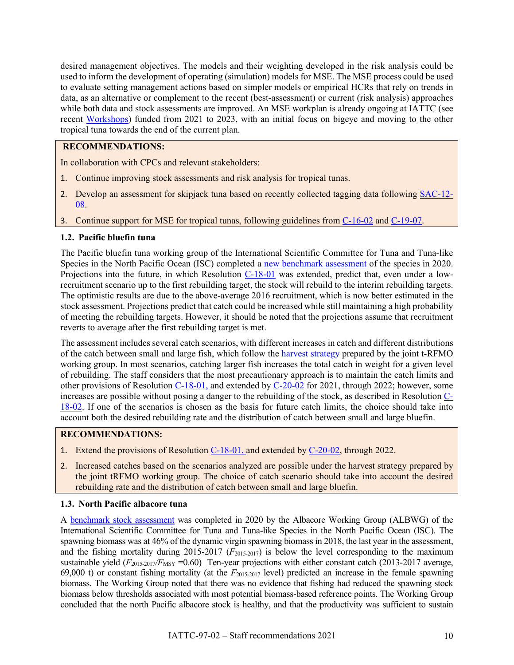desired management objectives. The models and their weighting developed in the risk analysis could be used to inform the development of operating (simulation) models for MSE. The MSE process could be used to evaluate setting management actions based on simpler models or empirical HCRs that rely on trends in data, as an alternative or complement to the recent (best-assessment) or current (risk analysis) approaches while both data and stock assessments are improved. An MSE workplan is already ongoing at IATTC (see recent [Workshops\)](http://iattc.org/Meetings/Meetings2019/WSMSE-01/_English/WSMSE-01-RPT_1st%20Workshop%20on%20Management%20Strategy%20Evaluation%20for%20tropical%20tunas.pdf) funded from 2021 to 2023, with an initial focus on bigeye and moving to the other tropical tuna towards the end of the current plan.

## **RECOMMENDATIONS:**

In collaboration with CPCs and relevant stakeholders:

- 1. Continue improving stock assessments and risk analysis for tropical tunas.
- 2. Develop an assessment for skipjack tuna based on recently collected tagging data following [SAC-12-](https://www.iattc.org/Meetings/Meetings2021/SAC-12/Docs/_English/SAC-12-08_Managing%20the%20floating-object%20fishery.pdf) [08.](https://www.iattc.org/Meetings/Meetings2021/SAC-12/Docs/_English/SAC-12-08_Managing%20the%20floating-object%20fishery.pdf)
- 3. Continue support for MSE for tropical tunas, following guidelines from [C-16-02](http://www.iattc.org/PDFFiles/Resolutions/IATTC/_English/C-16-02-Active_Harvest%20control%20rules.pdf) and [C-19-07.](https://www.iattc.org/PDFFiles/Resolutions/IATTC/_English/C-19-07-Active_Management%20Strategy%20Evaluation%20workshops.pdf)

#### <span id="page-9-0"></span>**1.2. Pacific bluefin tuna**

The Pacific bluefin tuna working group of the International Scientific Committee for Tuna and Tuna-like Species in the North Pacific Ocean (ISC) completed a [new benchmark assessment](http://www.iattc.org/Meetings/Meetings2020/SAC-11/Docs/_English/SAC-11-INF-H_Pacific%20Bluefin%20Tuna%20Stock%20Assessment%20Executive%20summary.pdf) of the species in 2020. Projections into the future, in which Resolution [C-18-01](http://www.iattc.org/PDFFiles/Resolutions/IATTC/_English/C-18-01-Active_Bluefin%20tuna%20(2019-2020).pdf) was extended, predict that, even under a lowrecruitment scenario up to the first rebuilding target, the stock will rebuild to the interim rebuilding targets. The optimistic results are due to the above-average 2016 recruitment, which is now better estimated in the stock assessment. Projections predict that catch could be increased while still maintaining a high probability of meeting the rebuilding targets. However, it should be noted that the projections assume that recruitment reverts to average after the first rebuilding target is met.

The assessment includes several catch scenarios, with different increases in catch and different distributions of the catch between small and large fish, which follow the [harvest strategy](https://www.wcpfc.int/system/files/HS%202017-02%20Harvest%20Strategy%20for%20Pacific%20Bluefin%20Tuna_0.pdf) prepared by the joint t-RFMO working group. In most scenarios, catching larger fish increases the total catch in weight for a given level of rebuilding. The staff considers that the most precautionary approach is to maintain the catch limits and other provisions of Resolution [C-18-01,](http://www.iattc.org/PDFFiles/Resolutions/IATTC/_English/C-18-01-Active_Bluefin%20tuna%20(2019-2020).pdf) and extended by [C-20-02](https://www.iattc.org/PDFFiles/Resolutions/IATTC/_English/C-20-02-Active_Pacific%20Bluefin%20Tuna%20(2021).pdf) for 2021, through 2022; however, some increases are possible without posing a danger to the rebuilding of the stock, as described in Resolution [C-](http://www.iattc.org/PDFFiles/Resolutions/IATTC/_English/C-18-02-Active_Bluefin%20tuna%20(long%20term).pdf)[18-02.](http://www.iattc.org/PDFFiles/Resolutions/IATTC/_English/C-18-02-Active_Bluefin%20tuna%20(long%20term).pdf) If one of the scenarios is chosen as the basis for future catch limits, the choice should take into account both the desired rebuilding rate and the distribution of catch between small and large bluefin.

#### **RECOMMENDATIONS:**

- 1. Extend the provisions of Resolution [C-18-01,](http://www.iattc.org/PDFFiles/Resolutions/IATTC/_English/C-18-01-Active_Bluefin%20tuna%20(2019-2020).pdf) and extended by [C-20-02,](https://www.iattc.org/PDFFiles/Resolutions/IATTC/_English/C-20-02-Active_Pacific%20Bluefin%20Tuna%20(2021).pdf) through 2022.
- 2. Increased catches based on the scenarios analyzed are possible under the harvest strategy prepared by the joint tRFMO working group. The choice of catch scenario should take into account the desired rebuilding rate and the distribution of catch between small and large bluefin.

#### <span id="page-9-1"></span>**1.3. North Pacific albacore tuna**

A benchmark [stock assessment](https://www.iattc.org/Meetings/Meetings2020/SAC-11/Docs/_English/SAC-11-INF-I_North%20Pacific%20Albacore%20Stock%20Assessment%20Executive%20summary.pdf) was completed in 2020 by the Albacore Working Group (ALBWG) of the International Scientific Committee for Tuna and Tuna-like Species in the North Pacific Ocean (ISC). The spawning biomass was at 46% of the dynamic virgin spawning biomass in 2018, the last year in the assessment, and the fishing mortality during 2015-2017 (*F*2015-2017) is below the level corresponding to the maximum sustainable yield ( $F_{2015-2017}/F_{\text{MSY}}$  =0.60) Ten-year projections with either constant catch (2013-2017 average, 69,000 t) or constant fishing mortality (at the *F*2015-2017 level) predicted an increase in the female spawning biomass. The Working Group noted that there was no evidence that fishing had reduced the spawning stock biomass below thresholds associated with most potential biomass-based reference points. The Working Group concluded that the north Pacific albacore stock is healthy, and that the productivity was sufficient to sustain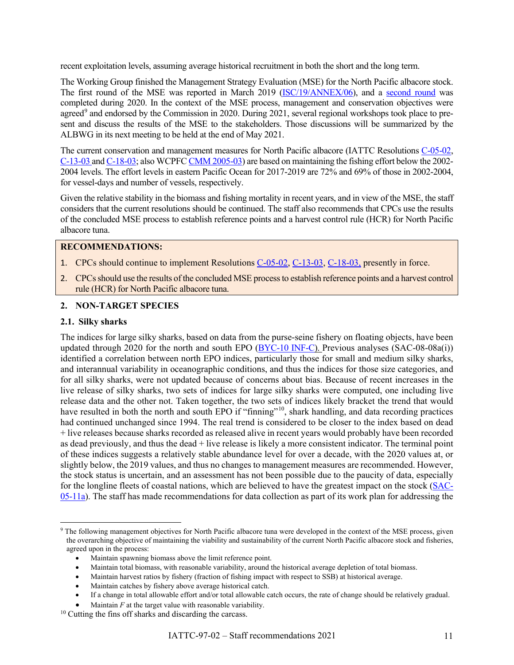recent exploitation levels, assuming average historical recruitment in both the short and the long term.

The Working Group finished the Management Strategy Evaluation (MSE) for the North Pacific albacore stock. The first round of the MSE was reported in March 2019 [\(ISC/19/ANNEX/06\)](http://isc.fra.go.jp/pdf/ISC19/ISC19_ANNEX06_Report_of_the_ALBACORE_Working_Group_Workshop_February2019.pdf), and a [second round](http://www.isc.fra.go.jp/reports/alb_mse_workshop_2020_1.html) was completed during 2020. In the context of the MSE process, management and conservation objectives were agreed<sup>[9](#page-10-1)</sup> and endorsed by the Commission in 2020. During 2021, several regional workshops took place to present and discuss the results of the MSE to the stakeholders. Those discussions will be summarized by the ALBWG in its next meeting to be held at the end of May 2021.

The current conservation and management measures for North Pacific albacore (IATTC Resolutions [C-05-02,](https://www.iattc.org/PDFFiles/Resolutions/IATTC/_English/C-05-02-Active_Northern%20albacore%20tuna.pdf) [C-13-03](https://www.iattc.org/PDFFiles/Resolutions/IATTC/_English/C-13-03-Active_North%20Pacific%20albacore%20supplements%20C-05-02%20Northern%20albacore%20tuna.pdf) and [C-18-03;](https://www.iattc.org/PDFFiles/Resolutions/IATTC/_English/C-18-03-Active_Amendment%20to%20C-13-03%20North%20Pacific%20albacore.pdf) also WCPF[C CMM 2005-03\)](https://www.wcpfc.int/system/files/WCPFC2_Records_I.pdf) are based on maintaining the fishing effort below the 2002- 2004 levels. The effort levels in eastern Pacific Ocean for 2017-2019 are 72% and 69% of those in 2002-2004, for vessel-days and number of vessels, respectively.

Given the relative stability in the biomass and fishing mortality in recent years, and in view of the MSE, the staff considers that the current resolutions should be continued. The staff also recommends that CPCs use the results of the concluded MSE process to establish reference points and a harvest control rule (HCR) for North Pacific albacore tuna.

## **RECOMMENDATIONS:**

- 1. CPCs should continue to implement Resolutions [C-05-02,](https://www.iattc.org/PDFFiles/Resolutions/IATTC/_English/C-05-02-Active_Northern%20albacore%20tuna.pdf) [C-13-03,](https://www.iattc.org/PDFFiles/Resolutions/IATTC/_English/C-13-03-Active_North%20Pacific%20albacore%20supplements%20C-05-02%20Northern%20albacore%20tuna.pdf) [C-18-03,](https://www.iattc.org/PDFFiles/Resolutions/IATTC/_English/C-18-03-Active_Amendment%20to%20C-13-03%20North%20Pacific%20albacore.pdf) presently in force.
- 2. CPCs should use the results of the concluded MSE process to establish reference points and a harvest control rule (HCR) for North Pacific albacore tuna.

#### <span id="page-10-0"></span>**2. NON-TARGET SPECIES**

#### **2.1. Silky sharks**

The indices for large silky sharks, based on data from the purse-seine fishery on floating objects, have been updated through 2020 for the north and south EPO [\(BYC-10 INF-C\)](http://www.iattc.org/Meetings/Meetings2020/SAC-11/BYC-10/_English/BYC-10-INF-A_Purse-seine%20indicators%20for%20silky%20sharks%20in%20the%20EPO.pdf). Previous analyses (SAC-08-08a(i)) identified a correlation between north EPO indices, particularly those for small and medium silky sharks, and interannual variability in oceanographic conditions, and thus the indices for those size categories, and for all silky sharks, were not updated because of concerns about bias. Because of recent increases in the live release of silky sharks, two sets of indices for large silky sharks were computed, one including live release data and the other not. Taken together, the two sets of indices likely bracket the trend that would have resulted in both the north and south EPO if "finning"<sup>10</sup>, shark handling, and data recording practices had continued unchanged since 1994. The real trend is considered to be closer to the index based on dead + live releases because sharks recorded as released alive in recent years would probably have been recorded as dead previously, and thus the dead + live release is likely a more consistent indicator. The terminal point of these indices suggests a relatively stable abundance level for over a decade, with the 2020 values at, or slightly below, the 2019 values, and thus no changes to management measures are recommended. However, the stock status is uncertain, and an assessment has not been possible due to the paucity of data, especially for the longline fleets of coastal nations, which are believed to have the greatest impact on the stock [\(SAC-](https://www.iattc.org/Meetings/Meetings2014/SAC-05/Docs/_English/SAC-05-11a_Indicators-for-silky-sharks.pdf)[05-11a\)](https://www.iattc.org/Meetings/Meetings2014/SAC-05/Docs/_English/SAC-05-11a_Indicators-for-silky-sharks.pdf). The staff has made recommendations for data collection as part of its work plan for addressing the

• Maintain harvest ratios by fishery (fraction of fishing impact with respect to SSB) at historical average.

<span id="page-10-1"></span><sup>&</sup>lt;sup>9</sup> The following management objectives for North Pacific albacore tuna were developed in the context of the MSE process, given the overarching objective of maintaining the viability and sustainability of the current North Pacific albacore stock and fisheries, agreed upon in the process:

<sup>•</sup> Maintain spawning biomass above the limit reference point.

<sup>•</sup> Maintain total biomass, with reasonable variability, around the historical average depletion of total biomass.

<sup>•</sup> Maintain catches by fishery above average historical catch.

<sup>•</sup> If a change in total allowable effort and/or total allowable catch occurs, the rate of change should be relatively gradual.

Maintain  $F$  at the target value with reasonable variability.

<span id="page-10-2"></span><sup>&</sup>lt;sup>10</sup> Cutting the fins off sharks and discarding the carcass.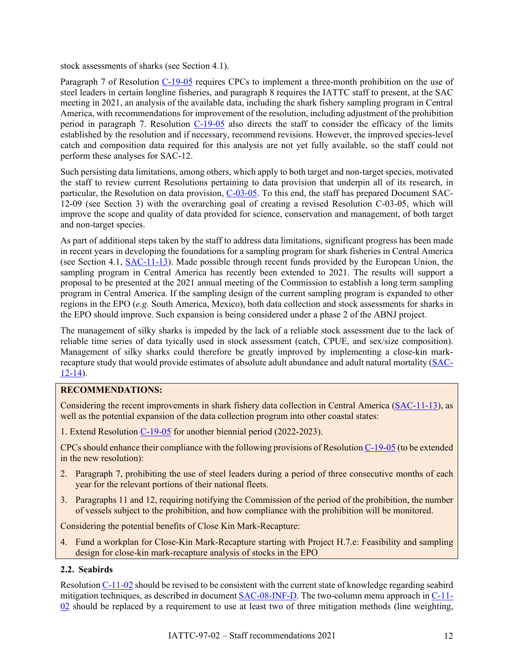stock assessments of sharks (see Section 4.1).

Paragraph 7 of Resolution [C-19-05](http://www.iattc.org/PDFFiles/Resolutions/IATTC/_English/C-19-05-Active_Silky%20sharks.pdf) requires CPCs to implement a three-month prohibition on the use of steel leaders in certain longline fisheries, and paragraph 8 requires the IATTC staff to present, at the SAC meeting in 2021, an analysis of the available data, including the shark fishery sampling program in Central America, with recommendations for improvement of the resolution, including adjustment of the prohibition period in paragraph 7. Resolution  $C-19-05$  also directs the staff to consider the efficacy of the limits established by the resolution and if necessary, recommend revisions. However, the improved species-level catch and composition data required for this analysis are not yet fully available, so the staff could not perform these analyses for SAC-12.

Such persisting data limitations, among others, which apply to both target and non-target species, motivated the staff to review current Resolutions pertaining to data provision that underpin all of its research, in particular, the Resolution on data provision, [C-03-05.](https://www.iattc.org/PDFFiles/Resolutions/IATTC/_English/C-03-05-Active_Provision%20of%20data.pdf) To this end, the staff has prepared Document SAC-12-09 (see Section 3) with the overarching goal of creating a revised Resolution C-03-05, which will improve the scope and quality of data provided for science, conservation and management, of both target and non-target species.

As part of additional steps taken by the staff to address data limitations, significant progress has been made in recent years in developing the foundations for a sampling program for shark fisheries in Central America (see Section 4.1, [SAC-11-13\)](http://www.iattc.org/Meetings/Meetings2020/SAC-11/Docs/_English/SAC-11-13_Pilot%20study%20for%20shark%20fishery%20sampling%20program%20in%20Central%20America.pdf). Made possible through recent funds provided by the European Union, the sampling program in Central America has recently been extended to 2021. The results will support a proposal to be presented at the 2021 annual meeting of the Commission to establish a long term sampling program in Central America. If the sampling design of the current sampling program is expanded to other regions in the EPO (*e.g.* South America, Mexico), both data collection and stock assessments for sharks in the EPO should improve. Such expansion is being considered under a phase 2 of the ABNJ project.

The management of silky sharks is impeded by the lack of a reliable stock assessment due to the lack of reliable time series of data tyically used in stock assessment (catch, CPUE, and sex/size composition). Management of silky sharks could therefore be greatly improved by implementing a close-kin markrecapture study that would provide estimates of absolute adult abundance and adult natural mortality [\(SAC-](https://www.iattc.org/Meetings/Meetings2021/SAC-12/Docs/_English/SAC-12-14_Considerations%20for%20conducting%20Close%20Kin%20Mark%20Recapture%20of%20stocks%20managed%20by%20IATTC.pdf)[12-14\)](https://www.iattc.org/Meetings/Meetings2021/SAC-12/Docs/_English/SAC-12-14_Considerations%20for%20conducting%20Close%20Kin%20Mark%20Recapture%20of%20stocks%20managed%20by%20IATTC.pdf).

#### **RECOMMENDATIONS:**

Considering the recent improvements in shark fishery data collection in Central America [\(SAC-11-13\)](http://www.iattc.org/Meetings/Meetings2020/SAC-11/Docs/_English/SAC-11-13_Pilot%20study%20for%20shark%20fishery%20sampling%20program%20in%20Central%20America.pdf), as well as the potential expansion of the data collection program into other coastal states:

1. Extend Resolution [C-19-05](http://www.iattc.org/PDFFiles/Resolutions/IATTC/_English/C-19-05-Active_Silky%20sharks.pdf) for another biennial period (2022-2023).

CPCs should enhance their compliance with the following provisions of Resolution [C-19-05](http://www.iattc.org/PDFFiles/Resolutions/IATTC/_English/C-19-05-Active_Silky%20sharks.pdf) (to be extended in the new resolution):

- 2. Paragraph 7, prohibiting the use of steel leaders during a period of three consecutive months of each year for the relevant portions of their national fleets.
- 3. Paragraphs 11 and 12, requiring notifying the Commission of the period of the prohibition, the number of vessels subject to the prohibition, and how compliance with the prohibition will be monitored.

Considering the potential benefits of Close Kin Mark-Recapture:

4. Fund a workplan for Close-Kin Mark-Recapture starting with Project H.7.e: Feasibility and sampling design for close-kin mark-recapture analysis of stocks in the EPO

## **2.2. Seabirds**

Resolution [C-11-02](https://www.iattc.org/PDFFiles/Resolutions/IATTC/_English/C-11-02-Active_Seabirds.pdf) should be revised to be consistent with the current state of knowledge regarding seabird mitigation techniques, as described in documen[t SAC-08-INF-D.](https://www.iattc.org/Meetings/Meetings2017/SAC-08/PDFs/INFOthers/_English/SAC-08-INF-D(a)_Seabirds-Tools-and-guidelines-for-identifying-and-handling.pdf) The two-column menu approach in [C-11-](https://www.iattc.org/PDFFiles/Resolutions/IATTC/_English/C-11-02-Active_Seabirds.pdf) [02](https://www.iattc.org/PDFFiles/Resolutions/IATTC/_English/C-11-02-Active_Seabirds.pdf) should be replaced by a requirement to use at least two of three mitigation methods (line weighting,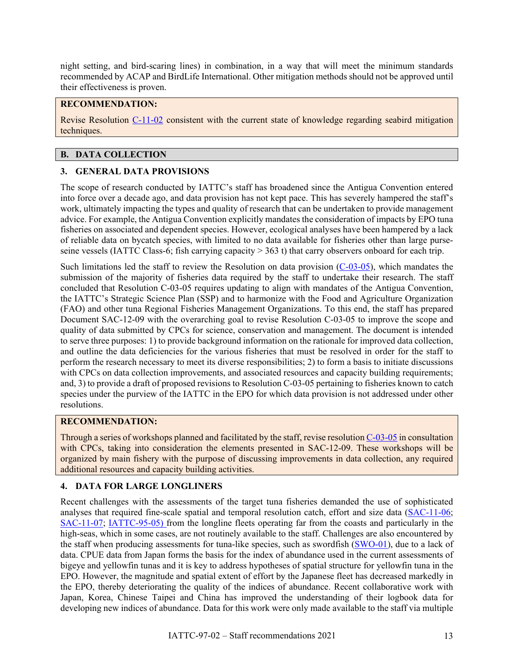night setting, and bird-scaring lines) in combination, in a way that will meet the minimum standards recommended by ACAP and BirdLife International. Other mitigation methods should not be approved until their effectiveness is proven.

#### **RECOMMENDATION:**

Revise Resolution [C-11-02](https://www.iattc.org/PDFFiles/Resolutions/IATTC/_English/C-11-02-Active_Seabirds.pdf) consistent with the current state of knowledge regarding seabird mitigation techniques.

#### <span id="page-12-0"></span>**B. DATA COLLECTION**

## <span id="page-12-1"></span>**3. GENERAL DATA PROVISIONS**

The scope of research conducted by IATTC's staff has broadened since the Antigua Convention entered into force over a decade ago, and data provision has not kept pace. This has severely hampered the staff's work, ultimately impacting the types and quality of research that can be undertaken to provide management advice. For example, the Antigua Convention explicitly mandates the consideration of impacts by EPO tuna fisheries on associated and dependent species. However, ecological analyses have been hampered by a lack of reliable data on bycatch species, with limited to no data available for fisheries other than large purseseine vessels (IATTC Class-6; fish carrying capacity > 363 t) that carry observers onboard for each trip.

Such limitations led the staff to review the Resolution on data provision  $(C-03-05)$ , which mandates the submission of the majority of fisheries data required by the staff to undertake their research. The staff concluded that Resolution C-03-05 requires updating to align with mandates of the Antigua Convention, the IATTC's Strategic Science Plan (SSP) and to harmonize with the Food and Agriculture Organization (FAO) and other tuna Regional Fisheries Management Organizations. To this end, the staff has prepared Document SAC-12-09 with the overarching goal to revise Resolution C-03-05 to improve the scope and quality of data submitted by CPCs for science, conservation and management. The document is intended to serve three purposes: 1) to provide background information on the rationale for improved data collection, and outline the data deficiencies for the various fisheries that must be resolved in order for the staff to perform the research necessary to meet its diverse responsibilities; 2) to form a basis to initiate discussions with CPCs on data collection improvements, and associated resources and capacity building requirements; and, 3) to provide a draft of proposed revisions to Resolution C-03-05 pertaining to fisheries known to catch species under the purview of the IATTC in the EPO for which data provision is not addressed under other resolutions.

#### **RECOMMENDATION:**

Through a series of workshops planned and facilitated by the staff, revise resolution [C-03-05](https://www.iattc.org/PDFFiles/Resolutions/IATTC/_English/C-03-05-Active_Provision%20of%20data.pdf) in consultation with CPCs, taking into consideration the elements presented in SAC-12-09. These workshops will be organized by main fishery with the purpose of discussing improvements in data collection, any required additional resources and capacity building activities.

#### **4. DATA FOR LARGE LONGLINERS**

Recent challenges with the assessments of the target tuna fisheries demanded the use of sophisticated analyses that required fine-scale spatial and temporal resolution catch, effort and size data [\(SAC-11-06;](https://www.iattc.org/Meetings/Meetings2020/SAC-11/Docs/_English/SAC-11-06-MTG_Bigeye%20tuna%20benchmark%20assessment%202019.pdf) [SAC-11-07;](https://www.iattc.org/Meetings/Meetings2020/SAC-11/Docs/_English/SAC-11-07-MTG_Yellowfin%20tuna%20benchmark%20assessment%202019.pdf) [IATTC-95-05\)](https://www.iattc.org/Meetings/Meetings2020/IATTC-95/Docs/_English/IATTC-95-05_The%20fishery%20and%20status%20of%20the%20stocks%202019.pdf) from the longline fleets operating far from the coasts and particularly in the high-seas, which in some cases, are not routinely available to the staff. Challenges are also encountered by the staff when producing assessments for tuna-like species, such as swordfish [\(SWO-01\)](https://www.iattc.org/Meetings/Meetings2020/SWO-01/1st-Technical-Workshop-on-Swordfish-in-the-South-EPO-ENG.htm), due to a lack of data. CPUE data from Japan forms the basis for the index of abundance used in the current assessments of bigeye and yellowfin tunas and it is key to address hypotheses of spatial structure for yellowfin tuna in the EPO. However, the magnitude and spatial extent of effort by the Japanese fleet has decreased markedly in the EPO, thereby deteriorating the quality of the indices of abundance. Recent collaborative work with Japan, Korea, Chinese Taipei and China has improved the understanding of their logbook data for developing new indices of abundance. Data for this work were only made available to the staff via multiple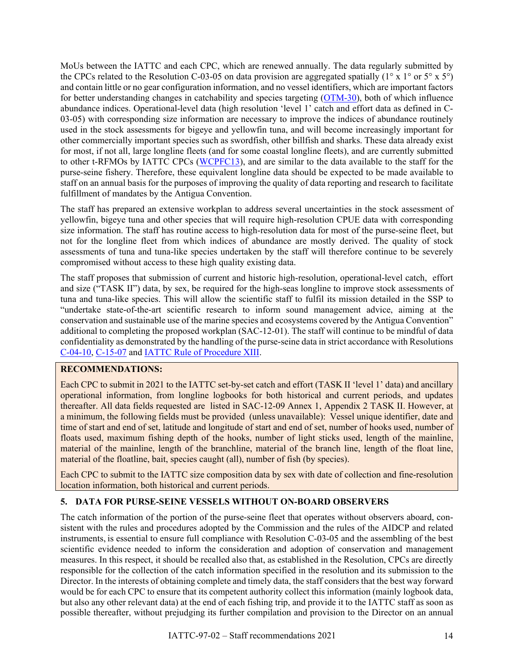MoUs between the IATTC and each CPC, which are renewed annually. The data regularly submitted by the CPCs related to the Resolution C-03-05 on data provision are aggregated spatially ( $1^\circ$  x  $1^\circ$  or  $5^\circ$  x  $5^\circ$ ) and contain little or no gear configuration information, and no vessel identifiers, which are important factors for better understanding changes in catchability and species targeting  $(OTM-30)$ , both of which influence abundance indices. Operational-level data (high resolution 'level 1' catch and effort data as defined in C-03-05) with corresponding size information are necessary to improve the indices of abundance routinely used in the stock assessments for bigeye and yellowfin tuna, and will become increasingly important for other commercially important species such as swordfish, other billfish and sharks. These data already exist for most, if not all, large longline fleets (and for some coastal longline fleets), and are currently submitted to other t-RFMOs by IATTC CPCs [\(WCPFC13\)](https://www.wcpfc.int/doc/data-01/scientific-data-be-provided-commission-revised-wcpfc4-6-7-and-9), and are similar to the data available to the staff for the purse-seine fishery. Therefore, these equivalent longline data should be expected to be made available to staff on an annual basis for the purposes of improving the quality of data reporting and research to facilitate fulfillment of mandates by the Antigua Convention.

The staff has prepared an extensive workplan to address several uncertainties in the stock assessment of yellowfin, bigeye tuna and other species that will require high-resolution CPUE data with corresponding size information. The staff has routine access to high-resolution data for most of the purse-seine fleet, but not for the longline fleet from which indices of abundance are mostly derived. The quality of stock assessments of tuna and tuna-like species undertaken by the staff will therefore continue to be severely compromised without access to these high quality existing data.

The staff proposes that submission of current and historic high-resolution, operational-level catch, effort and size ("TASK II") data, by sex, be required for the high-seas longline to improve stock assessments of tuna and tuna-like species. This will allow the scientific staff to fulfil its mission detailed in the SSP to "undertake state-of-the-art scientific research to inform sound management advice, aiming at the conservation and sustainable use of the marine species and ecosystems covered by the Antigua Convention" additional to completing the proposed workplan (SAC-12-01). The staff will continue to be mindful of data confidentiality as demonstrated by the handling of the purse-seine data in strict accordance with Resolutions [C-04-10,](https://www.iattc.org/PDFFiles/Resolutions/IATTC/_English/C-04-10-Active_Catch%20reporting.pdf) [C-15-07](https://www.iattc.org/PDFFiles/Resolutions/IATTC/_English/C-15-07-Active_Amends%20and%20replaces%20C-13-05%20Procedures%20for%20confidential%20data.pdf) and [IATTC Rule of Procedure XIII.](https://www.iattc.org/PDFFiles/Resolutions/IATTC/_English/C-12-03-Active_IATTC%20Rules%20of%20procedure%20as%20amended%20by%20Resoluton%20C-14-08%20and%20C-17-04.pdf#page=5)

#### **RECOMMENDATIONS:**

Each CPC to submit in 2021 to the IATTC set-by-set catch and effort (TASK II 'level 1' data) and ancillary operational information, from longline logbooks for both historical and current periods, and updates thereafter. All data fields requested are listed in SAC-12-09 Annex 1, Appendix 2 TASK II. However, at a minimum, the following fields must be provided (unless unavailable): Vessel unique identifier, date and time of start and end of set, latitude and longitude of start and end of set, number of hooks used, number of floats used, maximum fishing depth of the hooks, number of light sticks used, length of the mainline, material of the mainline, length of the branchline, material of the branch line, length of the float line, material of the floatline, bait, species caught (all), number of fish (by species).

Each CPC to submit to the IATTC size composition data by sex with date of collection and fine-resolution location information, both historical and current periods.

## **5. DATA FOR PURSE-SEINE VESSELS WITHOUT ON-BOARD OBSERVERS**

The catch information of the portion of the purse-seine fleet that operates without observers aboard, consistent with the rules and procedures adopted by the Commission and the rules of the AIDCP and related instruments, is essential to ensure full compliance with Resolution C-03-05 and the assembling of the best scientific evidence needed to inform the consideration and adoption of conservation and management measures. In this respect, it should be recalled also that, as established in the Resolution, CPCs are directly responsible for the collection of the catch information specified in the resolution and its submission to the Director. In the interests of obtaining complete and timely data, the staff considers that the best way forward would be for each CPC to ensure that its competent authority collect this information (mainly logbook data, but also any other relevant data) at the end of each fishing trip, and provide it to the IATTC staff as soon as possible thereafter, without prejudging its further compilation and provision to the Director on an annual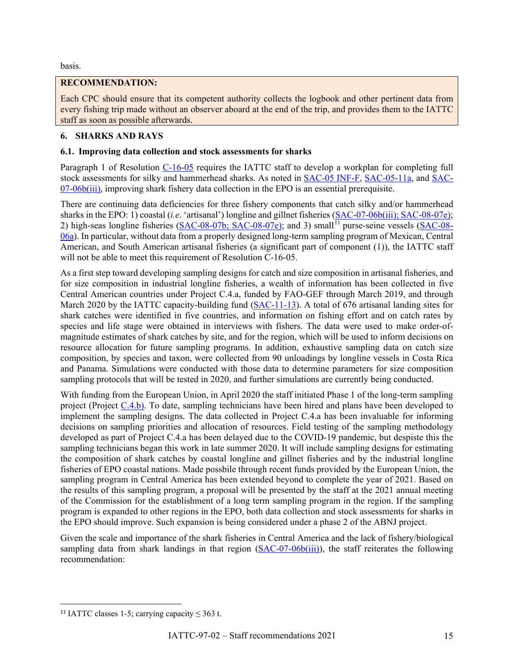basis.

## **RECOMMENDATION:**

Each CPC should ensure that its competent authority collects the logbook and other pertinent data from every fishing trip made without an observer aboard at the end of the trip, and provides them to the IATTC staff as soon as possible afterwards.

## <span id="page-14-0"></span>**6. SHARKS AND RAYS**

## **6.1. Improving data collection and stock assessments for sharks**

Paragraph 1 of Resolution [C-16-05](https://www.iattc.org/PDFFiles/Resolutions/IATTC/_English/C-16-05-Active_Management%20of%20sharks%20species.pdf) requires the IATTC staff to develop a workplan for completing full stock assessments for silky and hammerhead sharks. As noted in [SAC-05 INF-F,](https://www.iattc.org/Meetings/Meetings2014/May/_English/SAC-05-INF-F-Assessment-of-silky-sharks.pdf) [SAC-05-11a,](https://www.iattc.org/Meetings/Meetings2014/May/_English/SAC-05-11a-Indicators-for-silky-sharks.pdf) and [SAC-](https://www.iattc.org/Meetings/Meetings2016/SAC-07/PDFs/Docs/_English/SAC-07-06b(iii)_Results-of-FAO-GEF-shark-project-2-REV-11-01-2016.pdf) $07-06b(iii)$ , improving shark fishery data collection in the EPO is an essential prerequisite.

There are continuing data deficiencies for three fishery components that catch silky and/or hammerhead sharks in the EPO: 1) coastal (*i.e*. 'artisanal') longline and gillnet fisheries [\(SAC-07-06b\(iii\);](https://www.iattc.org/Meetings/Meetings2016/SAC-07/PDFs/Docs/_English/SAC-07-06b(iii)_Results-of-FAO-GEF-shark-project-2-REV-11-01-2016.pdf) [SAC-08-07e\)](https://www.iattc.org/Meetings/Meetings2017/SAC-08/PDFs/Docs/_English/SAC-08-07e_Establishing-minimum-data-standards-and-reporting-requirements-for-longline-observer-programs-under-resolution-C-11-08.pdf); 2) high-seas longline fisheries [\(SAC-08-07b;](https://www.iattc.org/Meetings/Meetings2017/SAC-08/PDFs/Docs/_English/SAC-08-07b_Preliminary-metadata-review-for-the-high-seas-longline-fishery.pdf) [SAC-08-07e\)](https://www.iattc.org/Meetings/Meetings2017/SAC-08/PDFs/Docs/_English/SAC-08-07e_Establishing-minimum-data-standards-and-reporting-requirements-for-longline-observer-programs-under-resolution-C-11-08.pdf); and 3) small<sup>[11](#page-14-1)</sup> purse-seine vessels [\(SAC-08-](https://www.iattc.org/Meetings/Meetings2017/SAC-08/PDFs/Docs/_English/SAC-08-06a_A-review-of-fishery-data-available-for-small-purse-seine-vessels-with-emphasis-on-FADs.pdf) [06a\)](https://www.iattc.org/Meetings/Meetings2017/SAC-08/PDFs/Docs/_English/SAC-08-06a_A-review-of-fishery-data-available-for-small-purse-seine-vessels-with-emphasis-on-FADs.pdf). In particular, without data from a properly designed long-term sampling program of Mexican, Central American, and South American artisanal fisheries (a significant part of component (1)), the IATTC staff will not be able to meet this requirement of Resolution C-16-05.

As a first step toward developing sampling designs for catch and size composition in artisanal fisheries, and for size composition in industrial longline fisheries, a wealth of information has been collected in five Central American countries under Project C.4.a, funded by FAO-GEF through March 2019, and through March 2020 by the IATTC capacity-building fund [\(SAC-11-13\)](http://www.iattc.org/Meetings/Meetings2020/SAC-11/Docs/_English/SAC-11-13_Pilot%20study%20for%20shark%20fishery%20sampling%20program%20in%20Central%20America.pdf). A total of 676 artisanal landing sites for shark catches were identified in five countries, and information on fishing effort and on catch rates by species and life stage were obtained in interviews with fishers. The data were used to make order-ofmagnitude estimates of shark catches by site, and for the region, which will be used to inform decisions on resource allocation for future sampling programs. In addition, exhaustive sampling data on catch size composition, by species and taxon, were collected from 90 unloadings by longline vessels in Costa Rica and Panama. Simulations were conducted with those data to determine parameters for size composition sampling protocols that will be tested in 2020, and further simulations are currently being conducted.

With funding from the European Union, in April 2020 the staff initiated Phase 1 of the long-term sampling project (Project [C.4.b\)](https://www.iattc.org/Meetings/Meetings2018/IATTC-93/PDFs/Docs/_English/IATTC-93-06c-REV-22-Aug-18_Unfunded%20projects.pdf#page=5). To date, sampling technicians have been hired and plans have been developed to implement the sampling designs. The data collected in Project C.4.a has been invaluable for informing decisions on sampling priorities and allocation of resources. Field testing of the sampling methodology developed as part of Project C.4.a has been delayed due to the COVID-19 pandemic, but despiste this the sampling technicians began this work in late summer 2020. It will include sampling designs for estimating the composition of shark catches by coastal longline and gillnet fisheries and by the industrial longline fisheries of EPO coastal nations. Made possbile through recent funds provided by the European Union, the sampling program in Central America has been extended beyond to complete the year of 2021. Based on the results of this sampling program, a proposal will be presented by the staff at the 2021 annual meeting of the Commission for the establishment of a long term sampling program in the region. If the sampling program is expanded to other regions in the EPO, both data collection and stock assessments for sharks in the EPO should improve. Such expansion is being considered under a phase 2 of the ABNJ project.

Given the scale and importance of the shark fisheries in Central America and the lack of fishery/biological sampling data from shark landings in that region  $(SAC-07-06b(iii))$ , the staff reiterates the following recommendation:

<span id="page-14-1"></span><sup>&</sup>lt;sup>11</sup> IATTC classes 1-5; carrying capacity  $\leq 363$  t.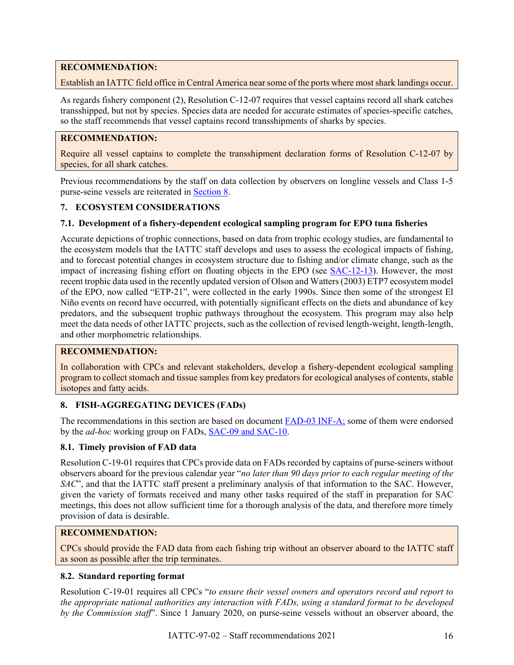## **RECOMMENDATION:**

Establish an IATTC field office in Central America near some of the ports where most shark landings occur.

As regards fishery component (2), Resolution C-12-07 requires that vessel captains record all shark catches transshipped, but not by species. Species data are needed for accurate estimates of species-specific catches, so the staff recommends that vessel captains record transshipments of sharks by species.

#### **RECOMMENDATION:**

Require all vessel captains to complete the transshipment declaration forms of Resolution C-12-07 by species, for all shark catches.

Previous recommendations by the staff on data collection by observers on longline vessels and Class 1-5 purse-seine vessels are reiterated in Section 8.

#### <span id="page-15-0"></span>**7. ECOSYSTEM CONSIDERATIONS**

#### **7.1. Development of a fishery-dependent ecological sampling program for EPO tuna fisheries**

Accurate depictions of trophic connections, based on data from trophic ecology studies, are fundamental to the ecosystem models that the IATTC staff develops and uses to assess the ecological impacts of fishing, and to forecast potential changes in ecosystem structure due to fishing and/or climate change, such as the impact of increasing fishing effort on floating objects in the EPO (see [SAC-12-13\)](https://www.iattc.org/Meetings/Meetings2021/SAC-12/Docs/_English/SAC-12-13_Ecosystem%20model%20of%20the%20EPO%20progress%20report.pdf). However, the most recent trophic data used in the recently updated version of Olson and Watters (2003) ETP7 ecosystem model of the EPO, now called "ETP-21", were collected in the early 1990s. Since then some of the strongest El Niño events on record have occurred, with potentially significant effects on the diets and abundance of key predators, and the subsequent trophic pathways throughout the ecosystem. This program may also help meet the data needs of other IATTC projects, such as the collection of revised length-weight, length-length, and other morphometric relationships.

## **RECOMMENDATION:**

In collaboration with CPCs and relevant stakeholders, develop a fishery-dependent ecological sampling program to collect stomach and tissue samples from key predators for ecological analyses of contents, stable isotopes and fatty acids.

#### <span id="page-15-1"></span>**8. FISH-AGGREGATING DEVICES (FADs)**

The recommendations in this section are based on document **FAD-03 INF-A**; some of them were endorsed by the *ad-hoc* working group on FADs, [SAC-09](https://www.iattc.org/Meetings/Meetings2018/IATTC-93/PDFs/Docs/_English/IATTC-93-03_Recommendations-of-the-9th-meeting-of-the-Scientific-Advisory-Committee.pdf) and [SAC-10.](https://www.iattc.org/Meetings/Meetings2019/IATTC-94/Docs/_English/IATTC-94-02_Recommendations%20of%20the%2010th%20meeting%20of%20the%20Scientific%20Advisory%20Committee.pdf)

#### **8.1. Timely provision of FAD data**

Resolution C-19-01 requires that CPCs provide data on FADs recorded by captains of purse-seiners without observers aboard for the previous calendar year "*no later than 90 days prior to each regular meeting of the SAC*", and that the IATTC staff present a preliminary analysis of that information to the SAC. However, given the variety of formats received and many other tasks required of the staff in preparation for SAC meetings, this does not allow sufficient time for a thorough analysis of the data, and therefore more timely provision of data is desirable.

#### **RECOMMENDATION:**

CPCs should provide the FAD data from each fishing trip without an observer aboard to the IATTC staff as soon as possible after the trip terminates.

#### **8.2. Standard reporting format**

Resolution C-19-01 requires all CPCs "*to ensure their vessel owners and operators record and report to the appropriate national authorities any interaction with FADs, using a standard format to be developed by the Commission staff*". Since 1 January 2020, on purse-seine vessels without an observer aboard, the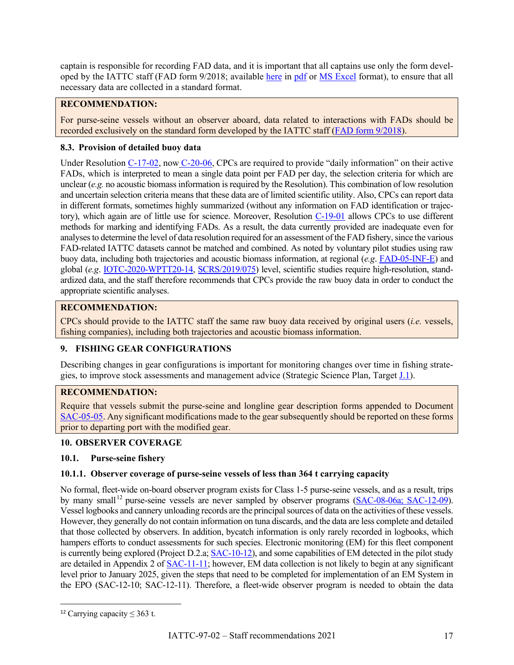captain is responsible for recording FAD data, and it is important that all captains use only the form developed by the IATTC staff (FAD form 9/2018; available [here](https://www.iattc.org/Downloads.htm) in [pdf](https://www.iattc.org/Downloads/Forms/FADs_Fish-aggregating%20device%20form%20(FADs)%20Sep-2018.pdf) or [MS Excel](https://www.iattc.org/Downloads/Forms/FADs_Fish-aggregating%20device%20form%20(FADs).xlsm) format), to ensure that all necessary data are collected in a standard format.

## **RECOMMENDATION:**

For purse-seine vessels without an observer aboard, data related to interactions with FADs should be recorded exclusively on the standard form developed by the IATTC staff [\(FAD form 9/2018\)](https://www.iattc.org/Downloads/Forms/FADs_Fish-aggregating%20device%20form%20(FADs)%20Sep-2018.pdf).

## **8.3. Provision of detailed buoy data**

Under Resolution [C-17-02,](https://www.iattc.org/PDFFiles/Resolutions/IATTC/_English/C-17-02-Active_Tuna%20conservation%20in%20the%20EPO%202018-2020%20and%20amendment%20to%20resolution%20C-17-01.pdf) now [C-20-06,](https://www.iattc.org/PDFFiles/Resolutions/IATTC/_Spanish/C-20-06-Active_Medidas%20de%20Conservacion%20para%20los%20atunes%20tropicales%20en%20el%20OPO%20durante%202021%20de%20conformidad%20con%20la%20Res%20C-20-05.pdf) CPCs are required to provide "daily information" on their active FADs, which is interpreted to mean a single data point per FAD per day, the selection criteria for which are unclear (*e.g.* no acoustic biomass information is required by the Resolution). This combination of low resolution and uncertain selection criteria means that these data are of limited scientific utility. Also, CPCs can report data in different formats, sometimes highly summarized (without any information on FAD identification or trajec-tory), which again are of little use for science. Moreover, Resolution [C-19-01](http://www.iattc.org/PDFFiles/Resolutions/IATTC/_English/C-19-01-Active_Amends%20and%20replaces%20C-18-05%20FADs.pdf) allows CPCs to use different methods for marking and identifying FADs. As a result, the data currently provided are inadequate even for analyses to determine the level of data resolution required for an assessment of the FAD fishery, since the various FAD-related IATTC datasets cannot be matched and combined. As noted by voluntary pilot studies using raw buoy data, including both trajectories and acoustic biomass information, at regional (*e.g*. [FAD-05-INF-E\)](https://www.iattc.org/Meetings/Meetings2021/FAD-05a/Docs/_English/FAD-05-INF-E_Buoy%20abundance%20index.pdf) and global (*e.g*. IOTC-2020-WPTT20-14, [SCRS/2019/075\)](https://www.iccat.int/Documents/CVSP/CV076_2019/n_6/CV076060321.pdf) level, scientific studies require high-resolution, standardized data, and the staff therefore recommends that CPCs provide the raw buoy data in order to conduct the appropriate scientific analyses.

## **RECOMMENDATION:**

CPCs should provide to the IATTC staff the same raw buoy data received by original users (*i.e.* vessels, fishing companies), including both trajectories and acoustic biomass information.

## <span id="page-16-0"></span>**9. FISHING GEAR CONFIGURATIONS**

Describing changes in gear configurations is important for monitoring changes over time in fishing strategies, to improve stock assessments and management advice (Strategic Science Plan, Target [J.1\)](https://www.iattc.org/Meetings/Meetings2018/IATTC-93/PDFs/Docs/_English/IATTC-93-06a_Strategic%20Science%20Plan.pdf#page=5).

## **RECOMMENDATION:**

Require that vessels submit the purse-seine and longline gear description forms appended to Document [SAC-05-05.](https://www.iattc.org/Meetings/Meetings2014/SAC-05/Docs/_English/SAC-05-05_Fishing-gear-data-for-scientific-purposes.pdf) Any significant modifications made to the gear subsequently should be reported on these forms prior to departing port with the modified gear.

## <span id="page-16-1"></span>**10. OBSERVER COVERAGE**

## **10.1. Purse-seine fishery**

## **10.1.1. Observer coverage of purse-seine vessels of less than 364 t carrying capacity**

No formal, fleet-wide on-board observer program exists for Class 1-5 purse-seine vessels, and as a result, trips by many small [12](#page-16-2) purse-seine vessels are never sampled by observer programs [\(SAC-08-06a;](https://www.iattc.org/Meetings/Meetings2017/SAC-08/PDFs/Docs/_English/SAC-08-06a_A-review-of-fishery-data-available-for-small-purse-seine-vessels-with-emphasis-on-FADs.pdf) SAC-12-09). Vessel logbooks and cannery unloading records are the principal sources of data on the activities of these vessels. However, they generally do not contain information on tuna discards, and the data are less complete and detailed that those collected by observers. In addition, bycatch information is only rarely recorded in logbooks, which hampers efforts to conduct assessments for such species. Electronic monitoring (EM) for this fleet component is currently being explored (Project D.2.a; [SAC-10-12\)](https://www.iattc.org/Meetings/Meetings2019/SAC-10/Docs/_English/SAC-10-12_Electronic%20monitoring%20of%20small%20purse%20seine%20vessel%20activities%20and%20catches.pdf), and some capabilities of EM detected in the pilot study are detailed in Appendix 2 of [SAC-11-11;](https://www.iattc.org/Meetings/Meetings2020/SAC-11/Docs/_English/SAC-11-11_Standards%20for%20electronic%20monitoring%20(EM).pdf) however, EM data collection is not likely to begin at any significant level prior to January 2025, given the steps that need to be completed for implementation of an EM System in the EPO (SAC-12-10; SAC-12-11). Therefore, a fleet-wide observer program is needed to obtain the data

<span id="page-16-2"></span><sup>&</sup>lt;sup>12</sup> Carrying capacity  $\leq$  363 t.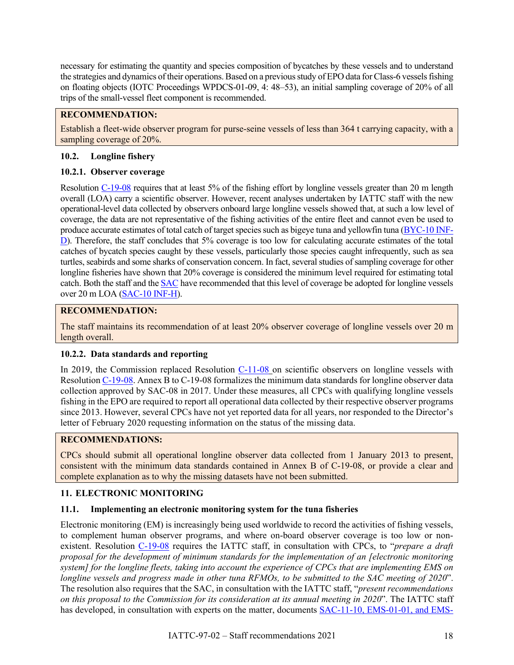necessary for estimating the quantity and species composition of bycatches by these vessels and to understand the strategies and dynamics of their operations. Based on a previous study of EPO data for Class-6 vessels fishing on floating objects (IOTC Proceedings WPDCS-01-09, 4: 48–53), an initial sampling coverage of 20% of all trips of the small-vessel fleet component is recommended.

#### **RECOMMENDATION:**

Establish a fleet-wide observer program for purse-seine vessels of less than 364 t carrying capacity, with a sampling coverage of 20%.

#### **10.2. Longline fishery**

#### **10.2.1. Observer coverage**

Resolution [C-19-08](https://www.iattc.org/PDFFiles/Resolutions/IATTC/_English/C-19-08-Active_Observers%20on%20longliners.pdf) requires that at least 5% of the fishing effort by longline vessels greater than 20 m length overall (LOA) carry a scientific observer. However, recent analyses undertaken by IATTC staff with the new operational-level data collected by observers onboard large longline vessels showed that, at such a low level of coverage, the data are not representative of the fishing activities of the entire fleet and cannot even be used to produce accurate estimates of total catch of target species such as bigeye tuna and yellowfin tuna [\(BYC-10 INF-](https://www.iattc.org/Meetings/Meetings2021/BYC-10/_English/BYC-10-INF-D_Update%20on%20operational%20longline%20observer%20data.pdf)[D\)](https://www.iattc.org/Meetings/Meetings2021/BYC-10/_English/BYC-10-INF-D_Update%20on%20operational%20longline%20observer%20data.pdf). Therefore, the staff concludes that 5% coverage is too low for calculating accurate estimates of the total catches of bycatch species caught by these vessels, particularly those species caught infrequently, such as sea turtles, seabirds and some sharks of conservation concern. In fact, several studies of sampling coverage for other longline fisheries have shown that 20% coverage is considered the minimum level required for estimating total catch. Both the staff and th[e SAC](https://www.iattc.org/Meetings/Meetings2017/IATTC-92/PDFs/Docs/_English/IATTC-92-04c_Recommendations-of-the-8th-meeting-of-the-Scientific-Advisory-Committee.pdf) have recommended that this level of coverage be adopted for longline vessels over 20 m LOA [\(SAC-10 INF-H\)](https://www.iattc.org/Meetings/Meetings2019/SAC-10/INF/_English/SAC-10-INF-H_Standardizing%20longline%20reports%20C-11-08.pdf).

#### **RECOMMENDATION:**

The staff maintains its recommendation of at least 20% observer coverage of longline vessels over 20 m length overall.

## **10.2.2. Data standards and reporting**

In 2019, the Commission replaced Resolution [C-11-08](https://www.iattc.org/PDFFiles/Resolutions/IATTC/_English/C-11-08-Active_Observers%20on%20longline%20vessels.pdf) on scientific observers on longline vessels with Resolution [C-19-08.](https://www.iattc.org/PDFFiles/Resolutions/IATTC/_English/C-19-08-Active_Observers%20on%20longliners.pdf) Annex B to C-19-08 formalizes the minimum data standards for longline observer data collection approved by SAC-08 in 2017. Under these measures, all CPCs with qualifying longline vessels fishing in the EPO are required to report all operational data collected by their respective observer programs since 2013. However, several CPCs have not yet reported data for all years, nor responded to the Director's letter of February 2020 requesting information on the status of the missing data.

## **RECOMMENDATIONS:**

CPCs should submit all operational longline observer data collected from 1 January 2013 to present, consistent with the minimum data standards contained in Annex B of C-19-08, or provide a clear and complete explanation as to why the missing datasets have not been submitted.

#### <span id="page-17-0"></span>**11. ELECTRONIC MONITORING**

#### **11.1. Implementing an electronic monitoring system for the tuna fisheries**

Electronic monitoring (EM) is increasingly being used worldwide to record the activities of fishing vessels, to complement human observer programs, and where on-board observer coverage is too low or nonexistent. Resolution [C-19-08](https://www.iattc.org/PDFFiles/Resolutions/IATTC/_English/C-19-08-Active_Observers%20on%20longliners.pdf#page=2) requires the IATTC staff, in consultation with CPCs, to "*prepare a draft proposal for the development of minimum standards for the implementation of an [electronic monitoring system] for the longline fleets, taking into account the experience of CPCs that are implementing EMS on longline vessels and progress made in other tuna RFMOs, to be submitted to the SAC meeting of 2020*". The resolution also requires that the SAC, in consultation with the IATTC staff, "*present recommendations on this proposal to the Commission for its consideration at its annual meeting in 2020*". The IATTC staff has developed, in consultation with experts on the matter, documents [SAC-11-10,](https://www.iattc.org/Meetings/Meetings2020/SAC-11/Docs/_English/SAC-11-11_Standards%20for%20electronic%20monitoring%20(EM).pdf) EMS-01-01, and EMS-